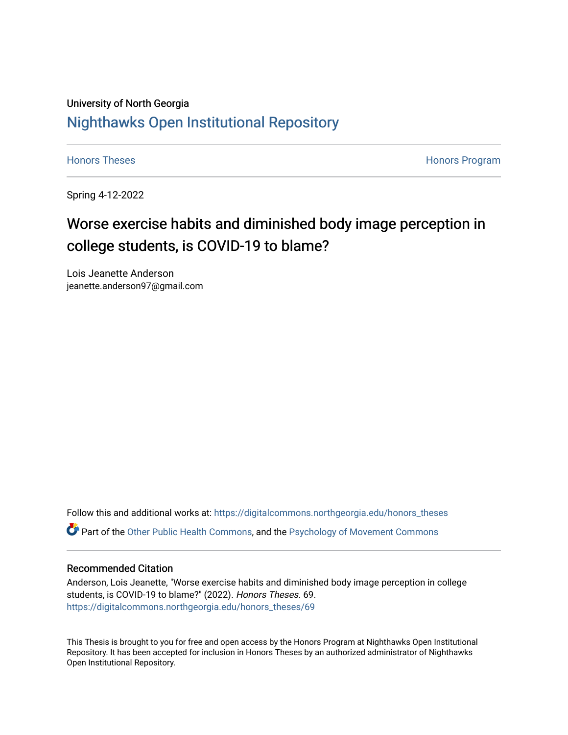# University of North Georgia [Nighthawks Open Institutional Repository](https://digitalcommons.northgeorgia.edu/)

[Honors Theses](https://digitalcommons.northgeorgia.edu/honors_theses) **Honors** Program

Spring 4-12-2022

# Worse exercise habits and diminished body image perception in college students, is COVID-19 to blame?

Lois Jeanette Anderson jeanette.anderson97@gmail.com

Follow this and additional works at: [https://digitalcommons.northgeorgia.edu/honors\\_theses](https://digitalcommons.northgeorgia.edu/honors_theses?utm_source=digitalcommons.northgeorgia.edu%2Fhonors_theses%2F69&utm_medium=PDF&utm_campaign=PDFCoverPages)

# Part of the [Other Public Health Commons,](https://network.bepress.com/hgg/discipline/748?utm_source=digitalcommons.northgeorgia.edu%2Fhonors_theses%2F69&utm_medium=PDF&utm_campaign=PDFCoverPages) and the [Psychology of Movement Commons](https://network.bepress.com/hgg/discipline/46?utm_source=digitalcommons.northgeorgia.edu%2Fhonors_theses%2F69&utm_medium=PDF&utm_campaign=PDFCoverPages)

## Recommended Citation

Anderson, Lois Jeanette, "Worse exercise habits and diminished body image perception in college students, is COVID-19 to blame?" (2022). Honors Theses. 69. [https://digitalcommons.northgeorgia.edu/honors\\_theses/69](https://digitalcommons.northgeorgia.edu/honors_theses/69?utm_source=digitalcommons.northgeorgia.edu%2Fhonors_theses%2F69&utm_medium=PDF&utm_campaign=PDFCoverPages) 

This Thesis is brought to you for free and open access by the Honors Program at Nighthawks Open Institutional Repository. It has been accepted for inclusion in Honors Theses by an authorized administrator of Nighthawks Open Institutional Repository.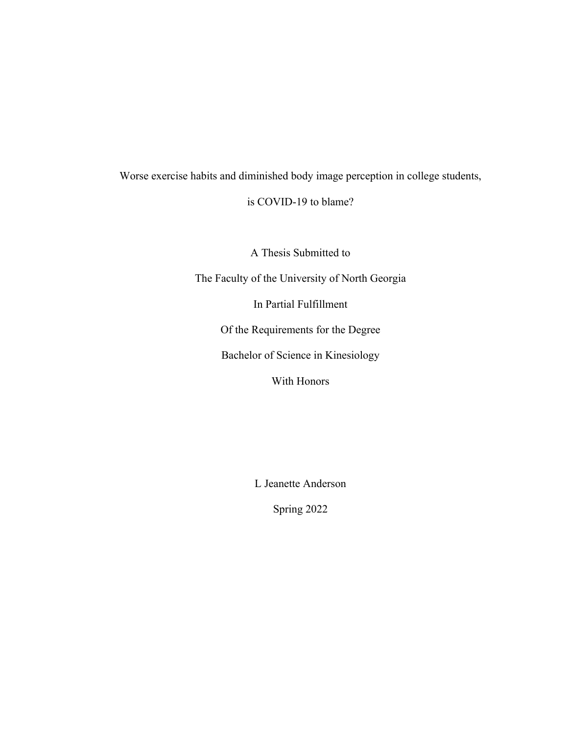# Worse exercise habits and diminished body image perception in college students,

# is COVID-19 to blame?

A Thesis Submitted to

The Faculty of the University of North Georgia

In Partial Fulfillment

Of the Requirements for the Degree

Bachelor of Science in Kinesiology

With Honors

L Jeanette Anderson

Spring 2022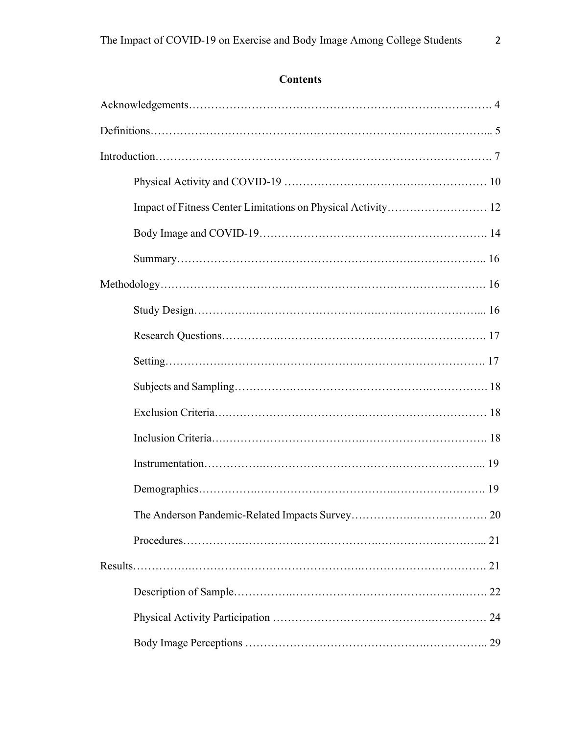# **Contents**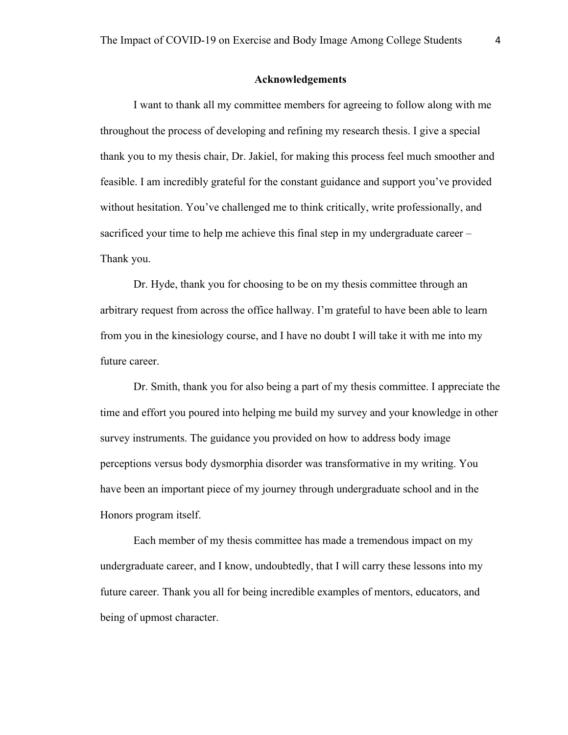#### **Acknowledgements**

I want to thank all my committee members for agreeing to follow along with me throughout the process of developing and refining my research thesis. I give a special thank you to my thesis chair, Dr. Jakiel, for making this process feel much smoother and feasible. I am incredibly grateful for the constant guidance and support you've provided without hesitation. You've challenged me to think critically, write professionally, and sacrificed your time to help me achieve this final step in my undergraduate career – Thank you.

Dr. Hyde, thank you for choosing to be on my thesis committee through an arbitrary request from across the office hallway. I'm grateful to have been able to learn from you in the kinesiology course, and I have no doubt I will take it with me into my future career.

Dr. Smith, thank you for also being a part of my thesis committee. I appreciate the time and effort you poured into helping me build my survey and your knowledge in other survey instruments. The guidance you provided on how to address body image perceptions versus body dysmorphia disorder was transformative in my writing. You have been an important piece of my journey through undergraduate school and in the Honors program itself.

Each member of my thesis committee has made a tremendous impact on my undergraduate career, and I know, undoubtedly, that I will carry these lessons into my future career. Thank you all for being incredible examples of mentors, educators, and being of upmost character.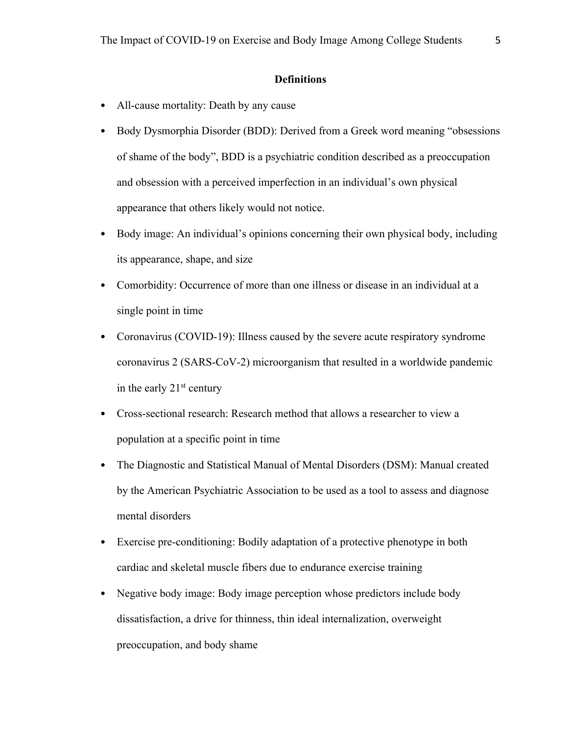# **Definitions**

- All-cause mortality: Death by any cause
- Body Dysmorphia Disorder (BDD): Derived from a Greek word meaning "obsessions" of shame of the body", BDD is a psychiatric condition described as a preoccupation and obsession with a perceived imperfection in an individual's own physical appearance that others likely would not notice.
- Body image: An individual's opinions concerning their own physical body, including its appearance, shape, and size
- Comorbidity: Occurrence of more than one illness or disease in an individual at a single point in time
- Coronavirus (COVID-19): Illness caused by the severe acute respiratory syndrome coronavirus 2 (SARS-CoV-2) microorganism that resulted in a worldwide pandemic in the early  $21<sup>st</sup>$  century
- Cross-sectional research: Research method that allows a researcher to view a population at a specific point in time
- The Diagnostic and Statistical Manual of Mental Disorders (DSM): Manual created by the American Psychiatric Association to be used as a tool to assess and diagnose mental disorders
- Exercise pre-conditioning: Bodily adaptation of a protective phenotype in both cardiac and skeletal muscle fibers due to endurance exercise training
- Negative body image: Body image perception whose predictors include body dissatisfaction, a drive for thinness, thin ideal internalization, overweight preoccupation, and body shame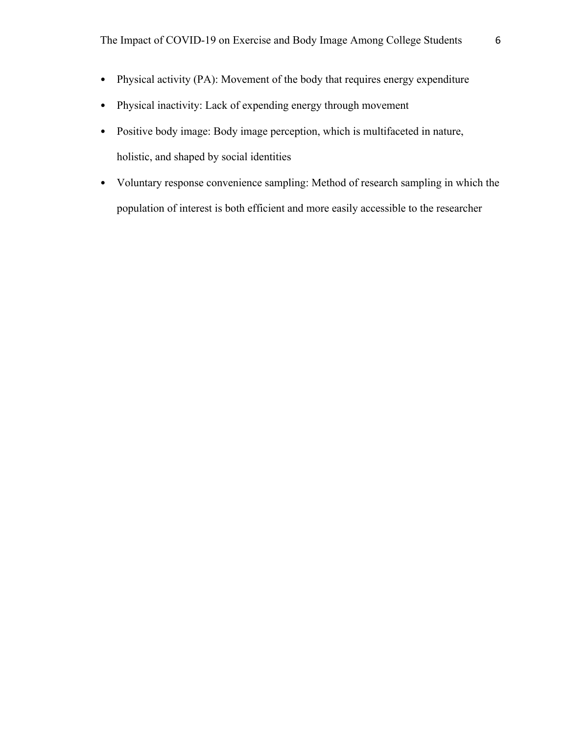- Physical activity (PA): Movement of the body that requires energy expenditure
- Physical inactivity: Lack of expending energy through movement
- Positive body image: Body image perception, which is multifaceted in nature, holistic, and shaped by social identities
- Voluntary response convenience sampling: Method of research sampling in which the population of interest is both efficient and more easily accessible to the researcher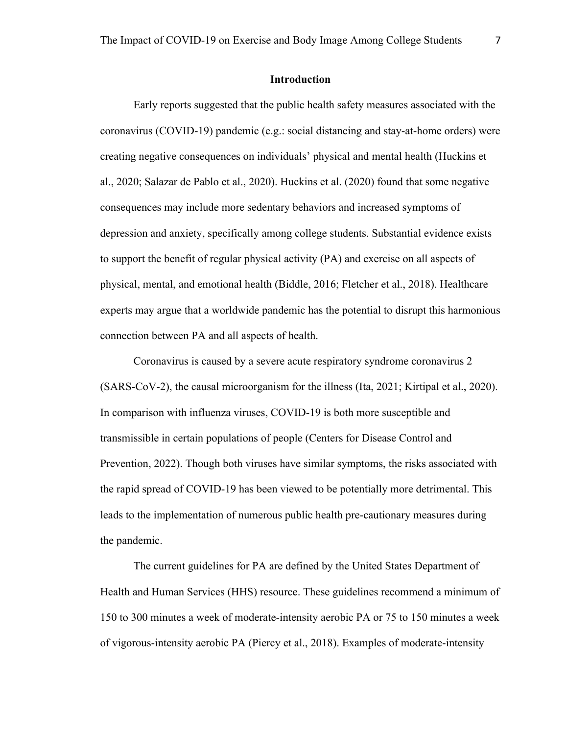Early reports suggested that the public health safety measures associated with the coronavirus (COVID-19) pandemic (e.g.: social distancing and stay-at-home orders) were creating negative consequences on individuals' physical and mental health (Huckins et al., 2020; Salazar de Pablo et al., 2020). Huckins et al. (2020) found that some negative consequences may include more sedentary behaviors and increased symptoms of depression and anxiety, specifically among college students. Substantial evidence exists to support the benefit of regular physical activity (PA) and exercise on all aspects of physical, mental, and emotional health (Biddle, 2016; Fletcher et al., 2018). Healthcare experts may argue that a worldwide pandemic has the potential to disrupt this harmonious connection between PA and all aspects of health.

Coronavirus is caused by a severe acute respiratory syndrome coronavirus 2 (SARS-CoV-2), the causal microorganism for the illness (Ita, 2021; Kirtipal et al., 2020). In comparison with influenza viruses, COVID-19 is both more susceptible and transmissible in certain populations of people (Centers for Disease Control and Prevention, 2022). Though both viruses have similar symptoms, the risks associated with the rapid spread of COVID-19 has been viewed to be potentially more detrimental. This leads to the implementation of numerous public health pre-cautionary measures during the pandemic.

The current guidelines for PA are defined by the United States Department of Health and Human Services (HHS) resource. These guidelines recommend a minimum of 150 to 300 minutes a week of moderate-intensity aerobic PA or 75 to 150 minutes a week of vigorous-intensity aerobic PA (Piercy et al., 2018). Examples of moderate-intensity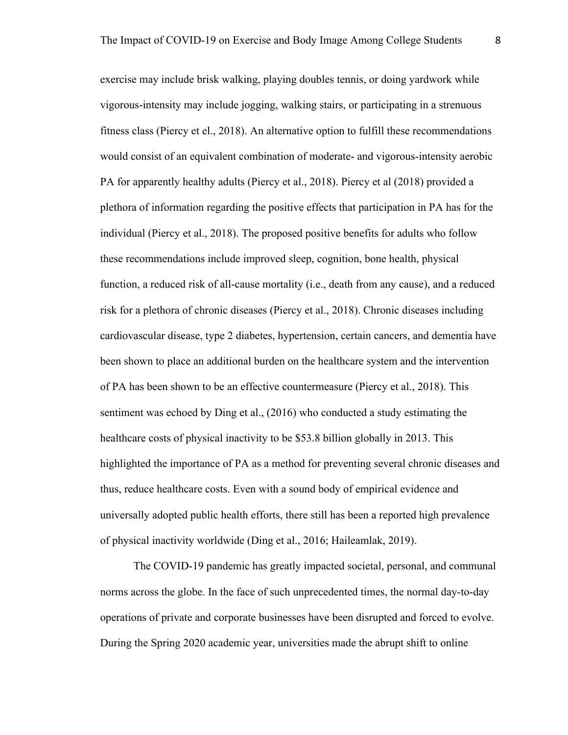exercise may include brisk walking, playing doubles tennis, or doing yardwork while vigorous-intensity may include jogging, walking stairs, or participating in a strenuous fitness class (Piercy et el., 2018). An alternative option to fulfill these recommendations would consist of an equivalent combination of moderate- and vigorous-intensity aerobic PA for apparently healthy adults (Piercy et al., 2018). Piercy et al (2018) provided a plethora of information regarding the positive effects that participation in PA has for the individual (Piercy et al., 2018). The proposed positive benefits for adults who follow these recommendations include improved sleep, cognition, bone health, physical function, a reduced risk of all-cause mortality (i.e., death from any cause), and a reduced risk for a plethora of chronic diseases (Piercy et al., 2018). Chronic diseases including cardiovascular disease, type 2 diabetes, hypertension, certain cancers, and dementia have been shown to place an additional burden on the healthcare system and the intervention of PA has been shown to be an effective countermeasure (Piercy et al., 2018). This sentiment was echoed by Ding et al., (2016) who conducted a study estimating the healthcare costs of physical inactivity to be \$53.8 billion globally in 2013. This highlighted the importance of PA as a method for preventing several chronic diseases and thus, reduce healthcare costs. Even with a sound body of empirical evidence and universally adopted public health efforts, there still has been a reported high prevalence of physical inactivity worldwide (Ding et al., 2016; Haileamlak, 2019).

The COVID-19 pandemic has greatly impacted societal, personal, and communal norms across the globe. In the face of such unprecedented times, the normal day-to-day operations of private and corporate businesses have been disrupted and forced to evolve. During the Spring 2020 academic year, universities made the abrupt shift to online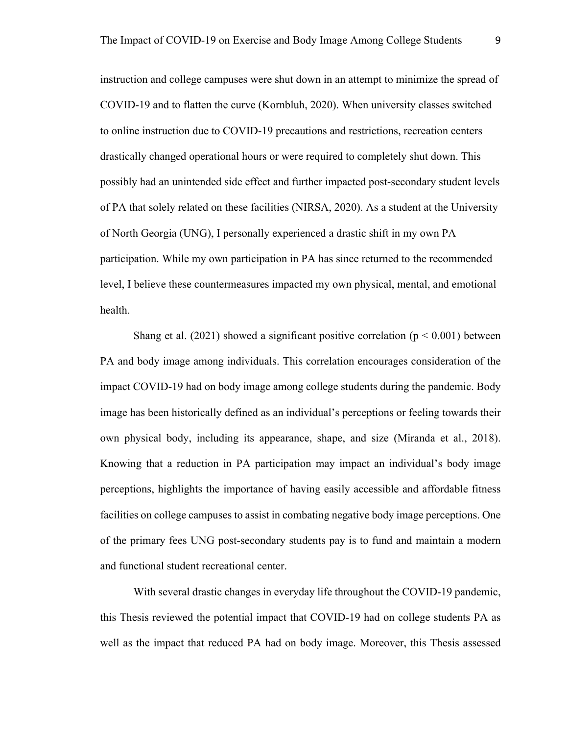instruction and college campuses were shut down in an attempt to minimize the spread of COVID-19 and to flatten the curve (Kornbluh, 2020). When university classes switched to online instruction due to COVID-19 precautions and restrictions, recreation centers drastically changed operational hours or were required to completely shut down. This possibly had an unintended side effect and further impacted post-secondary student levels of PA that solely related on these facilities (NIRSA, 2020). As a student at the University of North Georgia (UNG), I personally experienced a drastic shift in my own PA participation. While my own participation in PA has since returned to the recommended level, I believe these countermeasures impacted my own physical, mental, and emotional health.

Shang et al. (2021) showed a significant positive correlation ( $p < 0.001$ ) between PA and body image among individuals. This correlation encourages consideration of the impact COVID-19 had on body image among college students during the pandemic. Body image has been historically defined as an individual's perceptions or feeling towards their own physical body, including its appearance, shape, and size (Miranda et al., 2018). Knowing that a reduction in PA participation may impact an individual's body image perceptions, highlights the importance of having easily accessible and affordable fitness facilities on college campuses to assist in combating negative body image perceptions. One of the primary fees UNG post-secondary students pay is to fund and maintain a modern and functional student recreational center.

With several drastic changes in everyday life throughout the COVID-19 pandemic, this Thesis reviewed the potential impact that COVID-19 had on college students PA as well as the impact that reduced PA had on body image. Moreover, this Thesis assessed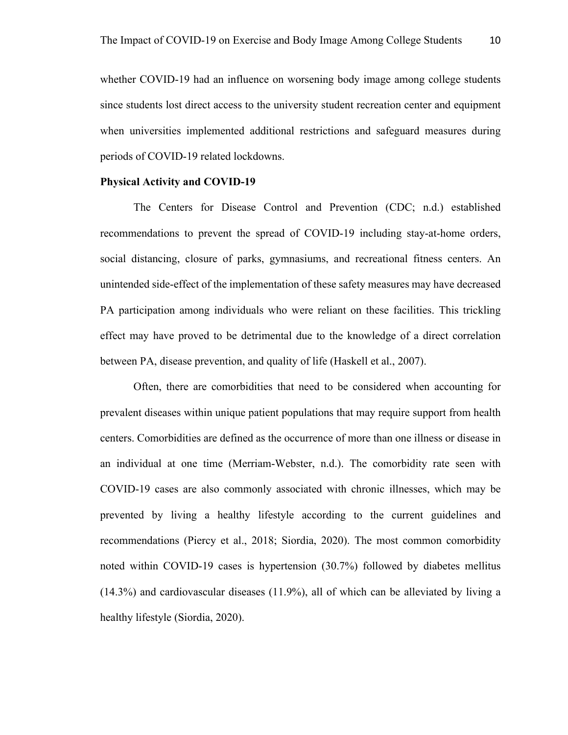whether COVID-19 had an influence on worsening body image among college students since students lost direct access to the university student recreation center and equipment when universities implemented additional restrictions and safeguard measures during periods of COVID-19 related lockdowns.

#### **Physical Activity and COVID-19**

The Centers for Disease Control and Prevention (CDC; n.d.) established recommendations to prevent the spread of COVID-19 including stay-at-home orders, social distancing, closure of parks, gymnasiums, and recreational fitness centers. An unintended side-effect of the implementation of these safety measures may have decreased PA participation among individuals who were reliant on these facilities. This trickling effect may have proved to be detrimental due to the knowledge of a direct correlation between PA, disease prevention, and quality of life (Haskell et al., 2007).

Often, there are comorbidities that need to be considered when accounting for prevalent diseases within unique patient populations that may require support from health centers. Comorbidities are defined as the occurrence of more than one illness or disease in an individual at one time (Merriam-Webster, n.d.). The comorbidity rate seen with COVID-19 cases are also commonly associated with chronic illnesses, which may be prevented by living a healthy lifestyle according to the current guidelines and recommendations (Piercy et al., 2018; Siordia, 2020). The most common comorbidity noted within COVID-19 cases is hypertension (30.7%) followed by diabetes mellitus (14.3%) and cardiovascular diseases (11.9%), all of which can be alleviated by living a healthy lifestyle (Siordia, 2020).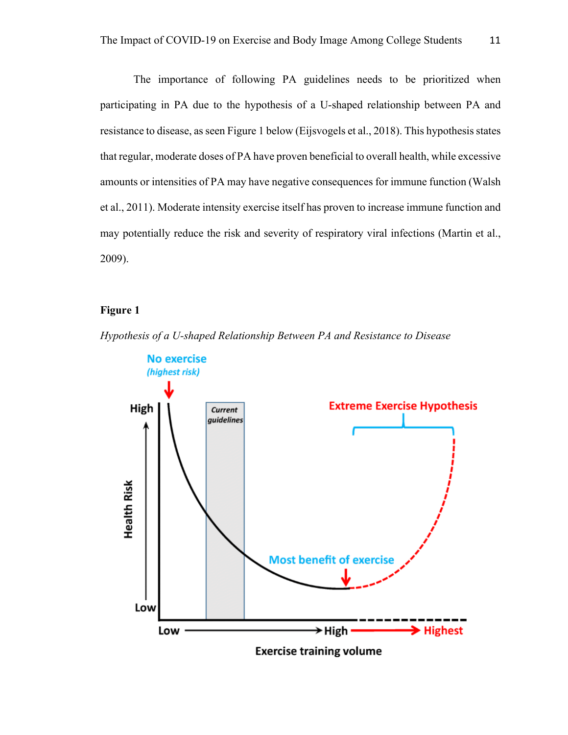The importance of following PA guidelines needs to be prioritized when participating in PA due to the hypothesis of a U-shaped relationship between PA and resistance to disease, as seen Figure 1 below (Eijsvogels et al., 2018). This hypothesis states that regular, moderate doses of PA have proven beneficial to overall health, while excessive amounts or intensities of PA may have negative consequences for immune function (Walsh et al., 2011). Moderate intensity exercise itself has proven to increase immune function and may potentially reduce the risk and severity of respiratory viral infections (Martin et al., 2009).

## **Figure 1**



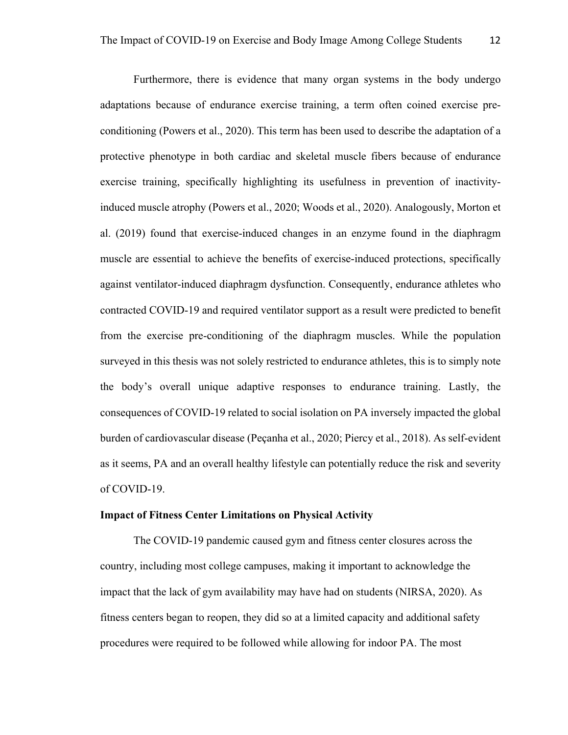Furthermore, there is evidence that many organ systems in the body undergo adaptations because of endurance exercise training, a term often coined exercise preconditioning (Powers et al., 2020). This term has been used to describe the adaptation of a protective phenotype in both cardiac and skeletal muscle fibers because of endurance exercise training, specifically highlighting its usefulness in prevention of inactivityinduced muscle atrophy (Powers et al., 2020; Woods et al., 2020). Analogously, Morton et al. (2019) found that exercise-induced changes in an enzyme found in the diaphragm muscle are essential to achieve the benefits of exercise-induced protections, specifically against ventilator-induced diaphragm dysfunction. Consequently, endurance athletes who contracted COVID-19 and required ventilator support as a result were predicted to benefit from the exercise pre-conditioning of the diaphragm muscles. While the population surveyed in this thesis was not solely restricted to endurance athletes, this is to simply note the body's overall unique adaptive responses to endurance training. Lastly, the consequences of COVID-19 related to social isolation on PA inversely impacted the global burden of cardiovascular disease (Peçanha et al., 2020; Piercy et al., 2018). As self-evident as it seems, PA and an overall healthy lifestyle can potentially reduce the risk and severity of COVID-19.

#### **Impact of Fitness Center Limitations on Physical Activity**

The COVID-19 pandemic caused gym and fitness center closures across the country, including most college campuses, making it important to acknowledge the impact that the lack of gym availability may have had on students (NIRSA, 2020). As fitness centers began to reopen, they did so at a limited capacity and additional safety procedures were required to be followed while allowing for indoor PA. The most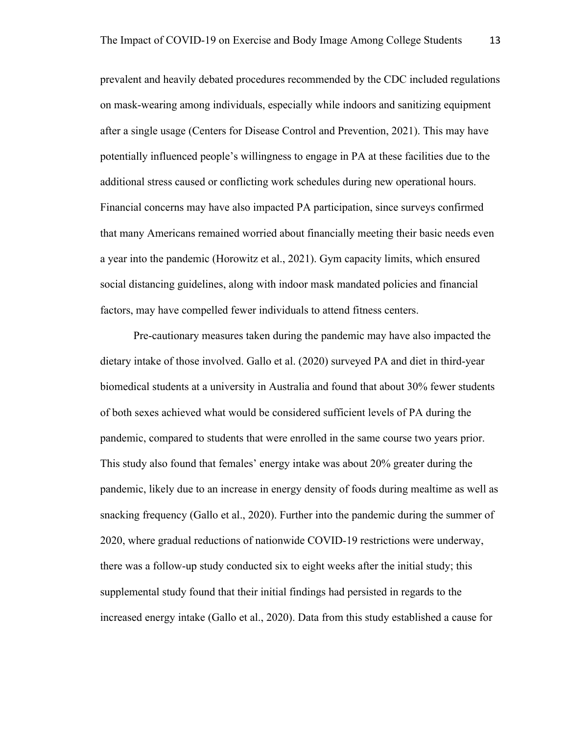prevalent and heavily debated procedures recommended by the CDC included regulations on mask-wearing among individuals, especially while indoors and sanitizing equipment after a single usage (Centers for Disease Control and Prevention, 2021). This may have potentially influenced people's willingness to engage in PA at these facilities due to the additional stress caused or conflicting work schedules during new operational hours. Financial concerns may have also impacted PA participation, since surveys confirmed that many Americans remained worried about financially meeting their basic needs even a year into the pandemic (Horowitz et al., 2021). Gym capacity limits, which ensured social distancing guidelines, along with indoor mask mandated policies and financial factors, may have compelled fewer individuals to attend fitness centers.

Pre-cautionary measures taken during the pandemic may have also impacted the dietary intake of those involved. Gallo et al. (2020) surveyed PA and diet in third-year biomedical students at a university in Australia and found that about 30% fewer students of both sexes achieved what would be considered sufficient levels of PA during the pandemic, compared to students that were enrolled in the same course two years prior. This study also found that females' energy intake was about 20% greater during the pandemic, likely due to an increase in energy density of foods during mealtime as well as snacking frequency (Gallo et al., 2020). Further into the pandemic during the summer of 2020, where gradual reductions of nationwide COVID-19 restrictions were underway, there was a follow-up study conducted six to eight weeks after the initial study; this supplemental study found that their initial findings had persisted in regards to the increased energy intake (Gallo et al., 2020). Data from this study established a cause for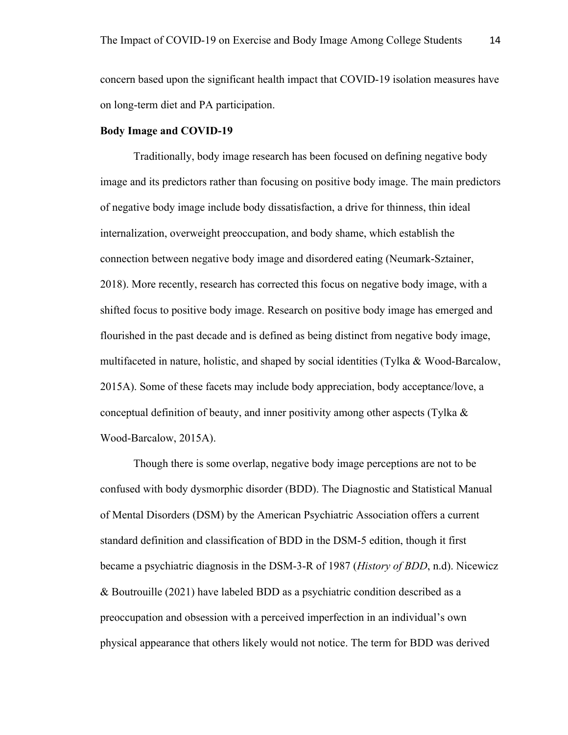concern based upon the significant health impact that COVID-19 isolation measures have on long-term diet and PA participation.

#### **Body Image and COVID-19**

Traditionally, body image research has been focused on defining negative body image and its predictors rather than focusing on positive body image. The main predictors of negative body image include body dissatisfaction, a drive for thinness, thin ideal internalization, overweight preoccupation, and body shame, which establish the connection between negative body image and disordered eating (Neumark-Sztainer, 2018). More recently, research has corrected this focus on negative body image, with a shifted focus to positive body image. Research on positive body image has emerged and flourished in the past decade and is defined as being distinct from negative body image, multifaceted in nature, holistic, and shaped by social identities (Tylka & Wood-Barcalow, 2015A). Some of these facets may include body appreciation, body acceptance/love, a conceptual definition of beauty, and inner positivity among other aspects (Tylka  $\&$ Wood-Barcalow, 2015A).

Though there is some overlap, negative body image perceptions are not to be confused with body dysmorphic disorder (BDD). The Diagnostic and Statistical Manual of Mental Disorders (DSM) by the American Psychiatric Association offers a current standard definition and classification of BDD in the DSM-5 edition, though it first became a psychiatric diagnosis in the DSM-3-R of 1987 (*History of BDD*, n.d). Nicewicz & Boutrouille (2021) have labeled BDD as a psychiatric condition described as a preoccupation and obsession with a perceived imperfection in an individual's own physical appearance that others likely would not notice. The term for BDD was derived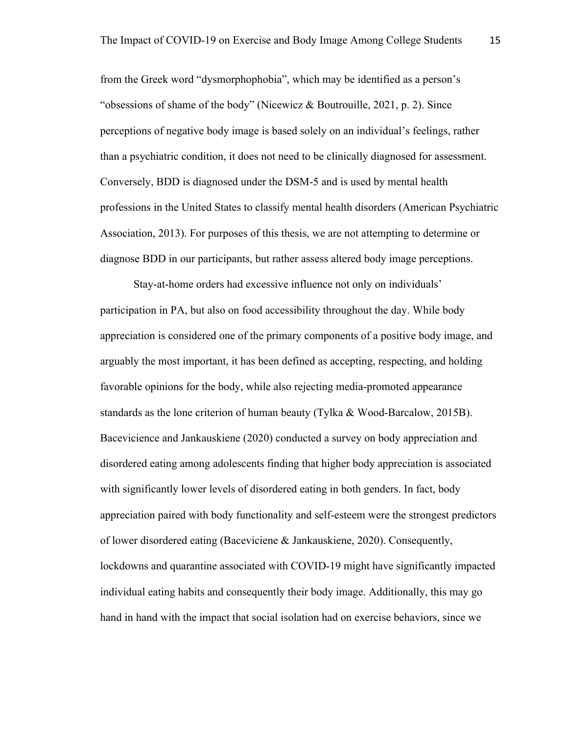from the Greek word "dysmorphophobia", which may be identified as a person's "obsessions of shame of the body" (Nicewicz  $\&$  Boutrouille, 2021, p. 2). Since perceptions of negative body image is based solely on an individual's feelings, rather than a psychiatric condition, it does not need to be clinically diagnosed for assessment. Conversely, BDD is diagnosed under the DSM-5 and is used by mental health professions in the United States to classify mental health disorders (American Psychiatric Association, 2013). For purposes of this thesis, we are not attempting to determine or diagnose BDD in our participants, but rather assess altered body image perceptions.

Stay-at-home orders had excessive influence not only on individuals' participation in PA, but also on food accessibility throughout the day. While body appreciation is considered one of the primary components of a positive body image, and arguably the most important, it has been defined as accepting, respecting, and holding favorable opinions for the body, while also rejecting media-promoted appearance standards as the lone criterion of human beauty (Tylka & Wood-Barcalow, 2015B). Bacevicience and Jankauskiene (2020) conducted a survey on body appreciation and disordered eating among adolescents finding that higher body appreciation is associated with significantly lower levels of disordered eating in both genders. In fact, body appreciation paired with body functionality and self-esteem were the strongest predictors of lower disordered eating (Baceviciene & Jankauskiene, 2020). Consequently, lockdowns and quarantine associated with COVID-19 might have significantly impacted individual eating habits and consequently their body image. Additionally, this may go hand in hand with the impact that social isolation had on exercise behaviors, since we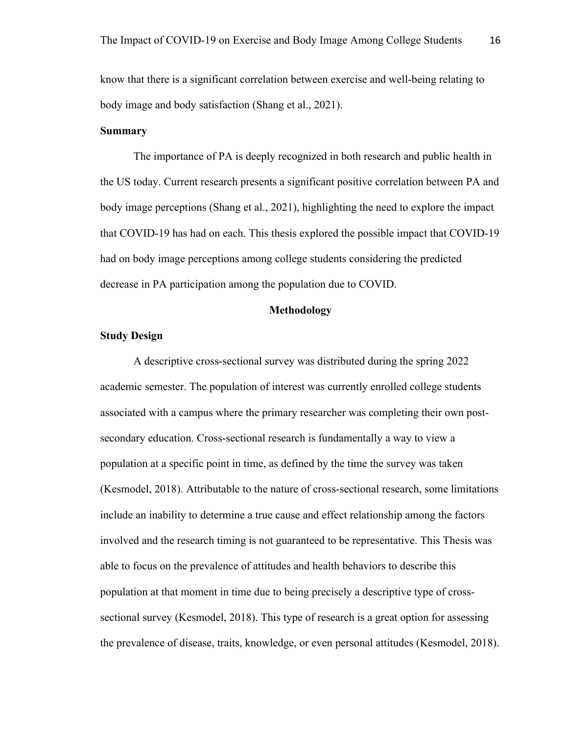know that there is a significant correlation between exercise and well-being relating to body image and body satisfaction (Shang et al., 2021).

# **Summary**

The importance of PA is deeply recognized in both research and public health in the US today. Current research presents a significant positive correlation between PA and body image perceptions (Shang et al., 2021), highlighting the need to explore the impact that COVID-19 has had on each. This thesis explored the possible impact that COVID-19 had on body image perceptions among college students considering the predicted decrease in PA participation among the population due to COVID.

#### **Methodology**

# **Study Design**

A descriptive cross-sectional survey was distributed during the spring 2022 academic semester. The population of interest was currently enrolled college students associated with a campus where the primary researcher was completing their own postsecondary education. Cross-sectional research is fundamentally a way to view a population at a specific point in time, as defined by the time the survey was taken (Kesmodel, 2018). Attributable to the nature of cross-sectional research, some limitations include an inability to determine a true cause and effect relationship among the factors involved and the research timing is not guaranteed to be representative. This Thesis was able to focus on the prevalence of attitudes and health behaviors to describe this population at that moment in time due to being precisely a descriptive type of crosssectional survey (Kesmodel, 2018). This type of research is a great option for assessing the prevalence of disease, traits, knowledge, or even personal attitudes (Kesmodel, 2018).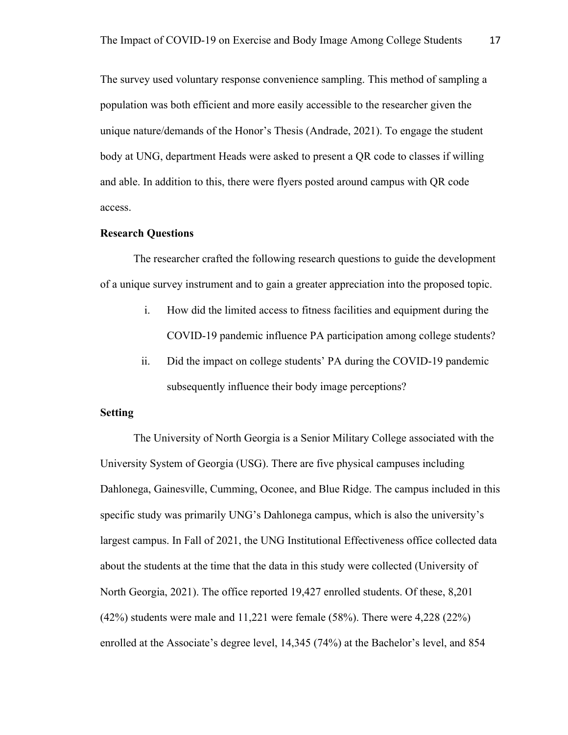The survey used voluntary response convenience sampling. This method of sampling a population was both efficient and more easily accessible to the researcher given the unique nature/demands of the Honor's Thesis (Andrade, 2021). To engage the student body at UNG, department Heads were asked to present a QR code to classes if willing and able. In addition to this, there were flyers posted around campus with QR code access.

# **Research Questions**

The researcher crafted the following research questions to guide the development of a unique survey instrument and to gain a greater appreciation into the proposed topic.

- i. How did the limited access to fitness facilities and equipment during the COVID-19 pandemic influence PA participation among college students?
- ii. Did the impact on college students' PA during the COVID-19 pandemic subsequently influence their body image perceptions?

#### **Setting**

The University of North Georgia is a Senior Military College associated with the University System of Georgia (USG). There are five physical campuses including Dahlonega, Gainesville, Cumming, Oconee, and Blue Ridge. The campus included in this specific study was primarily UNG's Dahlonega campus, which is also the university's largest campus. In Fall of 2021, the UNG Institutional Effectiveness office collected data about the students at the time that the data in this study were collected (University of North Georgia, 2021). The office reported 19,427 enrolled students. Of these, 8,201 (42%) students were male and 11,221 were female (58%). There were 4,228 (22%) enrolled at the Associate's degree level, 14,345 (74%) at the Bachelor's level, and 854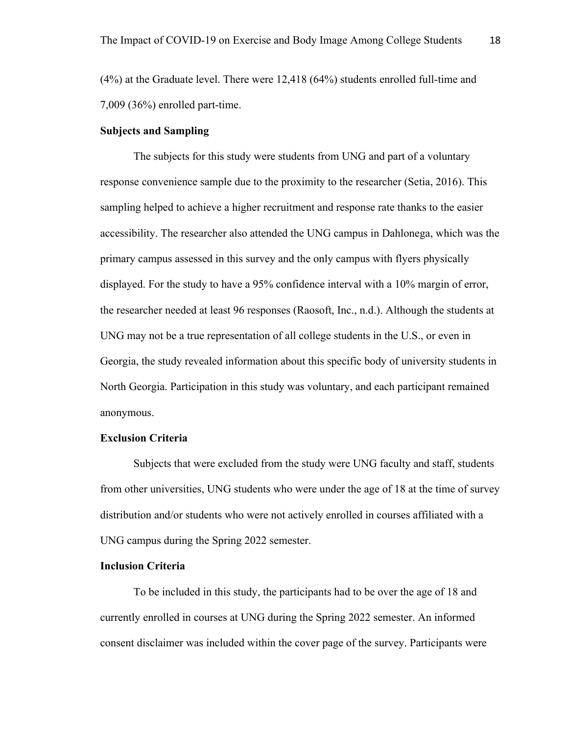(4%) at the Graduate level. There were 12,418 (64%) students enrolled full-time and 7,009 (36%) enrolled part-time.

## **Subjects and Sampling**

The subjects for this study were students from UNG and part of a voluntary response convenience sample due to the proximity to the researcher (Setia, 2016). This sampling helped to achieve a higher recruitment and response rate thanks to the easier accessibility. The researcher also attended the UNG campus in Dahlonega, which was the primary campus assessed in this survey and the only campus with flyers physically displayed. For the study to have a 95% confidence interval with a 10% margin of error, the researcher needed at least 96 responses (Raosoft, Inc., n.d.). Although the students at UNG may not be a true representation of all college students in the U.S., or even in Georgia, the study revealed information about this specific body of university students in North Georgia. Participation in this study was voluntary, and each participant remained anonymous.

# **Exclusion Criteria**

Subjects that were excluded from the study were UNG faculty and staff, students from other universities, UNG students who were under the age of 18 at the time of survey distribution and/or students who were not actively enrolled in courses affiliated with a UNG campus during the Spring 2022 semester.

## **Inclusion Criteria**

To be included in this study, the participants had to be over the age of 18 and currently enrolled in courses at UNG during the Spring 2022 semester. An informed consent disclaimer was included within the cover page of the survey. Participants were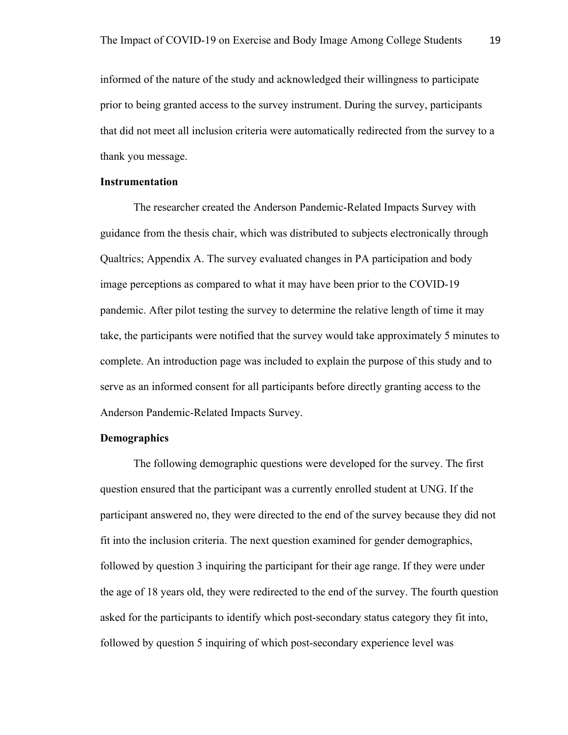informed of the nature of the study and acknowledged their willingness to participate prior to being granted access to the survey instrument. During the survey, participants that did not meet all inclusion criteria were automatically redirected from the survey to a thank you message.

## **Instrumentation**

The researcher created the Anderson Pandemic-Related Impacts Survey with guidance from the thesis chair, which was distributed to subjects electronically through Qualtrics; Appendix A. The survey evaluated changes in PA participation and body image perceptions as compared to what it may have been prior to the COVID-19 pandemic. After pilot testing the survey to determine the relative length of time it may take, the participants were notified that the survey would take approximately 5 minutes to complete. An introduction page was included to explain the purpose of this study and to serve as an informed consent for all participants before directly granting access to the Anderson Pandemic-Related Impacts Survey.

# **Demographics**

The following demographic questions were developed for the survey. The first question ensured that the participant was a currently enrolled student at UNG. If the participant answered no, they were directed to the end of the survey because they did not fit into the inclusion criteria. The next question examined for gender demographics, followed by question 3 inquiring the participant for their age range. If they were under the age of 18 years old, they were redirected to the end of the survey. The fourth question asked for the participants to identify which post-secondary status category they fit into, followed by question 5 inquiring of which post-secondary experience level was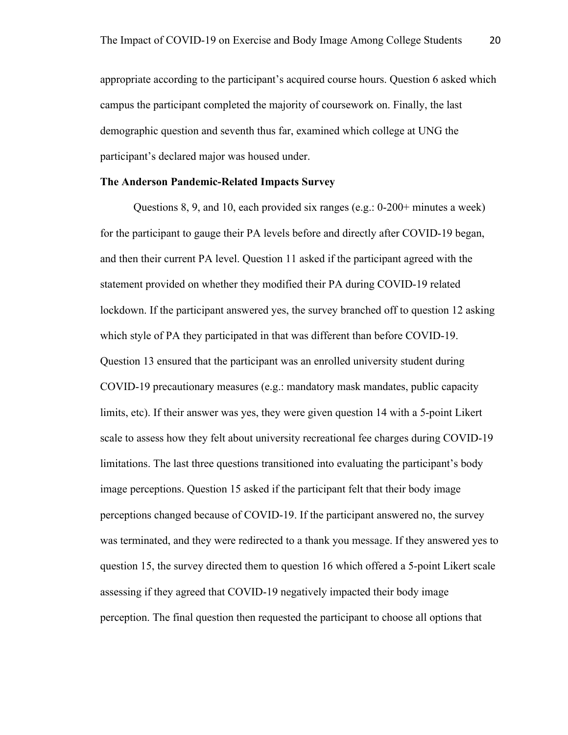appropriate according to the participant's acquired course hours. Question 6 asked which campus the participant completed the majority of coursework on. Finally, the last demographic question and seventh thus far, examined which college at UNG the participant's declared major was housed under.

## **The Anderson Pandemic-Related Impacts Survey**

Questions 8, 9, and 10, each provided six ranges (e.g.: 0-200+ minutes a week) for the participant to gauge their PA levels before and directly after COVID-19 began, and then their current PA level. Question 11 asked if the participant agreed with the statement provided on whether they modified their PA during COVID-19 related lockdown. If the participant answered yes, the survey branched off to question 12 asking which style of PA they participated in that was different than before COVID-19. Question 13 ensured that the participant was an enrolled university student during COVID-19 precautionary measures (e.g.: mandatory mask mandates, public capacity limits, etc). If their answer was yes, they were given question 14 with a 5-point Likert scale to assess how they felt about university recreational fee charges during COVID-19 limitations. The last three questions transitioned into evaluating the participant's body image perceptions. Question 15 asked if the participant felt that their body image perceptions changed because of COVID-19. If the participant answered no, the survey was terminated, and they were redirected to a thank you message. If they answered yes to question 15, the survey directed them to question 16 which offered a 5-point Likert scale assessing if they agreed that COVID-19 negatively impacted their body image perception. The final question then requested the participant to choose all options that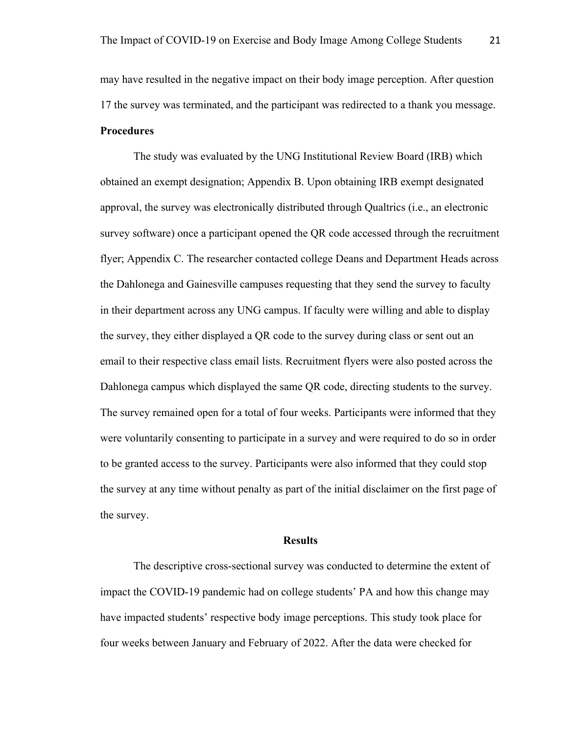may have resulted in the negative impact on their body image perception. After question 17 the survey was terminated, and the participant was redirected to a thank you message. **Procedures**

The study was evaluated by the UNG Institutional Review Board (IRB) which obtained an exempt designation; Appendix B. Upon obtaining IRB exempt designated approval, the survey was electronically distributed through Qualtrics (i.e., an electronic survey software) once a participant opened the QR code accessed through the recruitment flyer; Appendix C. The researcher contacted college Deans and Department Heads across the Dahlonega and Gainesville campuses requesting that they send the survey to faculty in their department across any UNG campus. If faculty were willing and able to display the survey, they either displayed a QR code to the survey during class or sent out an email to their respective class email lists. Recruitment flyers were also posted across the Dahlonega campus which displayed the same QR code, directing students to the survey. The survey remained open for a total of four weeks. Participants were informed that they were voluntarily consenting to participate in a survey and were required to do so in order to be granted access to the survey. Participants were also informed that they could stop the survey at any time without penalty as part of the initial disclaimer on the first page of the survey.

#### **Results**

The descriptive cross-sectional survey was conducted to determine the extent of impact the COVID-19 pandemic had on college students' PA and how this change may have impacted students' respective body image perceptions. This study took place for four weeks between January and February of 2022. After the data were checked for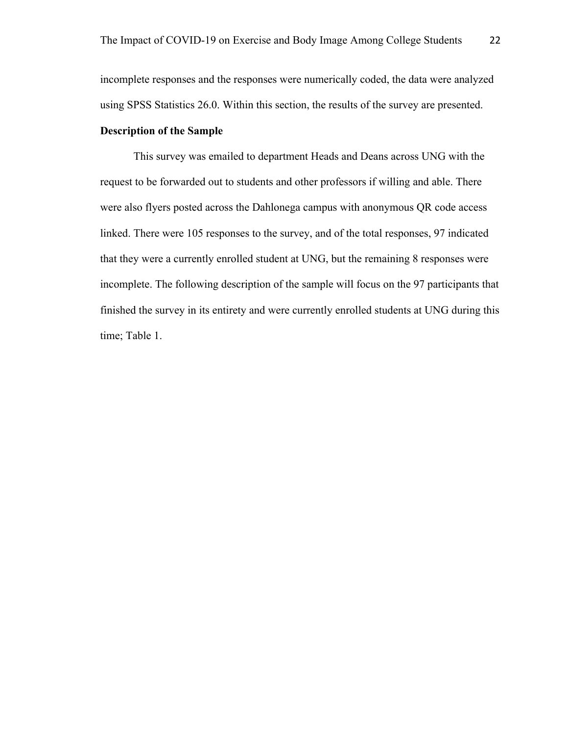incomplete responses and the responses were numerically coded, the data were analyzed using SPSS Statistics 26.0. Within this section, the results of the survey are presented.

# **Description of the Sample**

This survey was emailed to department Heads and Deans across UNG with the request to be forwarded out to students and other professors if willing and able. There were also flyers posted across the Dahlonega campus with anonymous QR code access linked. There were 105 responses to the survey, and of the total responses, 97 indicated that they were a currently enrolled student at UNG, but the remaining 8 responses were incomplete. The following description of the sample will focus on the 97 participants that finished the survey in its entirety and were currently enrolled students at UNG during this time; Table 1.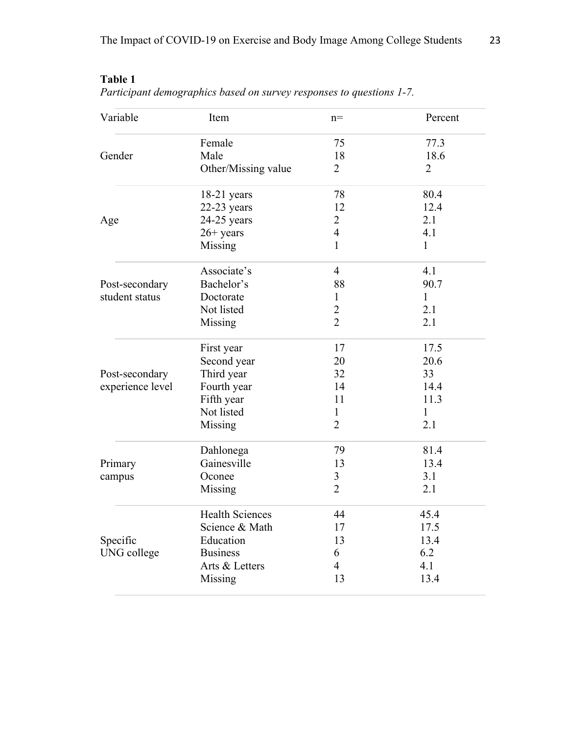| <b>Table 1</b><br>Participant demographics based on survey responses to questions 1-7. |        |       |         |
|----------------------------------------------------------------------------------------|--------|-------|---------|
| Variable                                                                               | Item   | $n =$ | Percent |
|                                                                                        | Female | 75    | 77.3    |
| Gender                                                                                 | Male   | 18    | 18.6    |

**Tabl**<br>*Parti* 

| Gender           | Male                   | 18             | 18.6           |
|------------------|------------------------|----------------|----------------|
|                  | Other/Missing value    | $\overline{2}$ | $\overline{2}$ |
|                  | $18-21$ years          | 78             | 80.4           |
|                  | $22-23$ years          | 12             | 12.4           |
| Age              | $24-25$ years          | $\overline{2}$ | 2.1            |
|                  | $26+$ years            | $\overline{4}$ | 4.1            |
|                  | Missing                | $\mathbf{1}$   | $\mathbf{1}$   |
|                  | Associate's            | $\overline{4}$ | 4.1            |
| Post-secondary   | Bachelor's             | 88             | 90.7           |
| student status   | Doctorate              | $\mathbf{1}$   | $\mathbf{1}$   |
|                  | Not listed             | $\overline{2}$ | 2.1            |
|                  | Missing                | $\overline{2}$ | 2.1            |
|                  | First year             | 17             | 17.5           |
|                  | Second year            | 20             | 20.6           |
| Post-secondary   | Third year             | 32             | 33             |
| experience level | Fourth year            | 14             | 14.4           |
|                  | Fifth year             | 11             | 11.3           |
|                  | Not listed             | $\mathbf{1}$   | $\mathbf{1}$   |
|                  | Missing                | $\overline{2}$ | 2.1            |
|                  | Dahlonega              | 79             | 81.4           |
| Primary          | Gainesville            | 13             | 13.4           |
| campus           | Oconee                 | 3              | 3.1            |
|                  | Missing                | $\overline{2}$ | 2.1            |
|                  | <b>Health Sciences</b> | 44             | 45.4           |
|                  | Science & Math         | 17             | 17.5           |
| Specific         | Education              | 13             | 13.4           |
| UNG college      | <b>Business</b>        | 6              | 6.2            |
|                  | Arts & Letters         | $\overline{4}$ | 4.1            |
|                  | Missing                | 13             | 13.4           |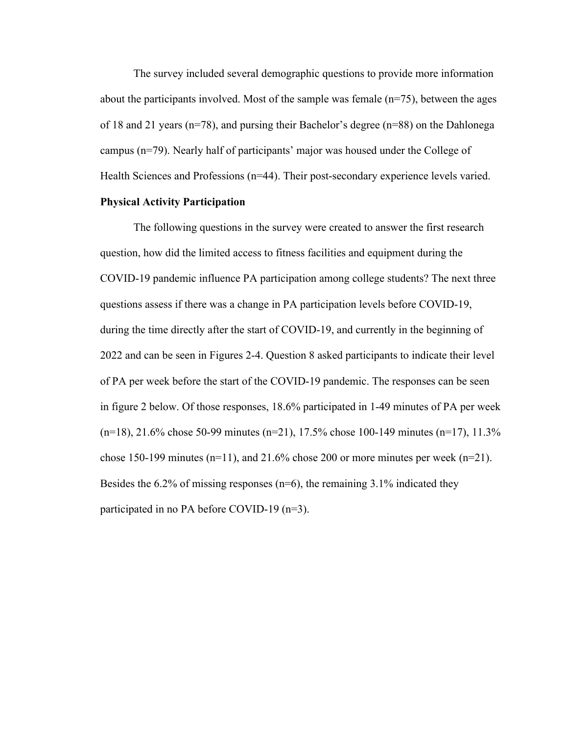The survey included several demographic questions to provide more information about the participants involved. Most of the sample was female  $(n=75)$ , between the ages of 18 and 21 years (n=78), and pursing their Bachelor's degree (n=88) on the Dahlonega campus (n=79). Nearly half of participants' major was housed under the College of Health Sciences and Professions (n=44). Their post-secondary experience levels varied.

# **Physical Activity Participation**

The following questions in the survey were created to answer the first research question, how did the limited access to fitness facilities and equipment during the COVID-19 pandemic influence PA participation among college students? The next three questions assess if there was a change in PA participation levels before COVID-19, during the time directly after the start of COVID-19, and currently in the beginning of 2022 and can be seen in Figures 2-4. Question 8 asked participants to indicate their level of PA per week before the start of the COVID-19 pandemic. The responses can be seen in figure 2 below. Of those responses, 18.6% participated in 1-49 minutes of PA per week (n=18), 21.6% chose 50-99 minutes (n=21), 17.5% chose 100-149 minutes (n=17), 11.3% chose 150-199 minutes ( $n=11$ ), and 21.6% chose 200 or more minutes per week ( $n=21$ ). Besides the 6.2% of missing responses ( $n=6$ ), the remaining 3.1% indicated they participated in no PA before COVID-19 (n=3).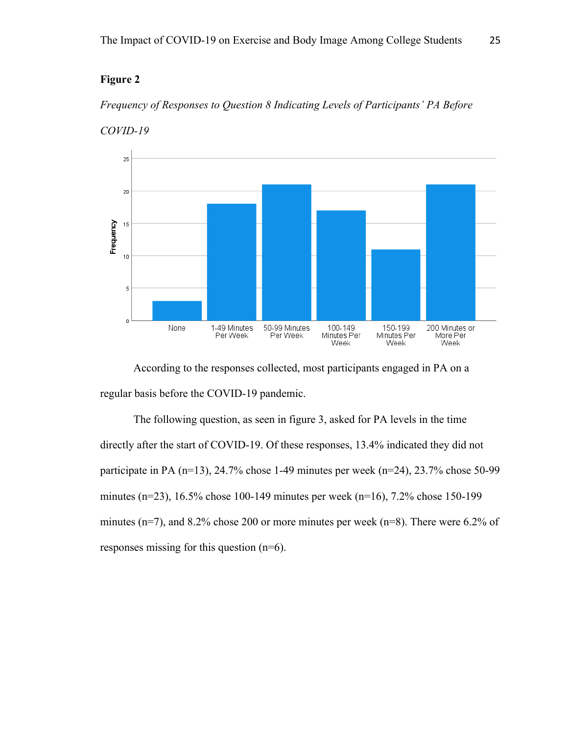# **Figure 2**

# *Frequency of Responses to Question 8 Indicating Levels of Participants' PA Before*



*COVID-19*

According to the responses collected, most participants engaged in PA on a regular basis before the COVID-19 pandemic.

The following question, as seen in figure 3, asked for PA levels in the time directly after the start of COVID-19. Of these responses, 13.4% indicated they did not participate in PA (n=13), 24.7% chose 1-49 minutes per week (n=24), 23.7% chose 50-99 minutes (n=23), 16.5% chose 100-149 minutes per week (n=16), 7.2% chose 150-199 minutes (n=7), and 8.2% chose 200 or more minutes per week (n=8). There were 6.2% of responses missing for this question (n=6).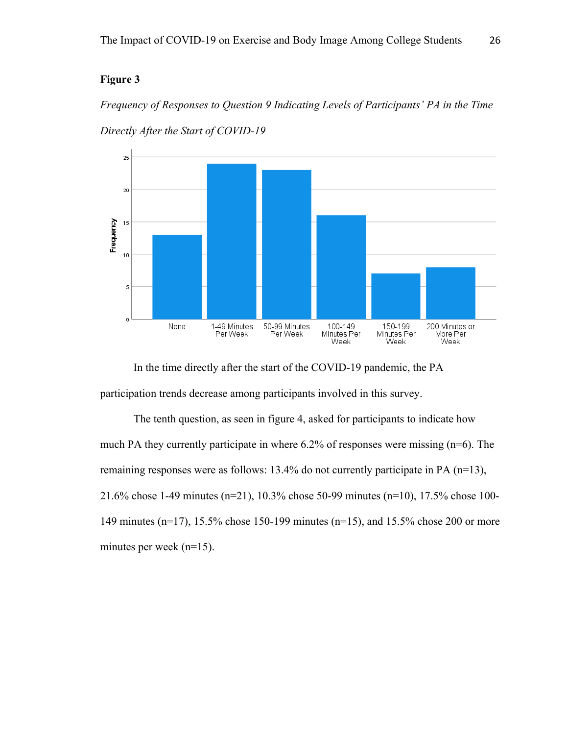# **Figure 3**

*Frequency of Responses to Question 9 Indicating Levels of Participants' PA in the Time Directly After the Start of COVID-19*



In the time directly after the start of the COVID-19 pandemic, the PA participation trends decrease among participants involved in this survey.

The tenth question, as seen in figure 4, asked for participants to indicate how much PA they currently participate in where 6.2% of responses were missing (n=6). The remaining responses were as follows: 13.4% do not currently participate in PA (n=13), 21.6% chose 1-49 minutes (n=21), 10.3% chose 50-99 minutes (n=10), 17.5% chose 100- 149 minutes (n=17), 15.5% chose 150-199 minutes (n=15), and 15.5% chose 200 or more minutes per week (n=15).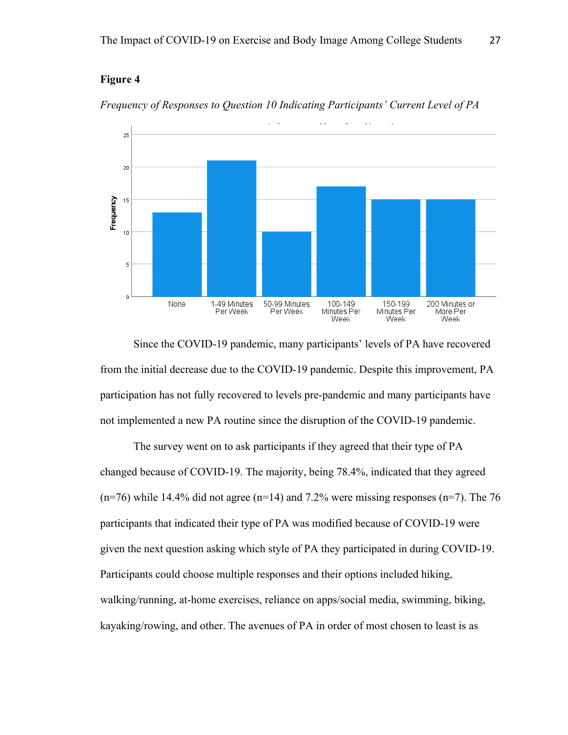# **Figure 4**

 $20$ 

 $10$ 

5

Frequency  $15$ 



*Frequency of Responses to Question 10 Indicating Participants' Current Level of PA*

 $\overline{0}$ None 1-49 Minutes 50-99 Minutes 100-149 150-199 200 Minutes or Per Week Per Week Minutes Per Minutes Per More Per Week Week Week Since the COVID-19 pandemic, many participants' levels of PA have recovered from the initial decrease due to the COVID-19 pandemic. Despite this improvement, PA

participation has not fully recovered to levels pre-pandemic and many participants have not implemented a new PA routine since the disruption of the COVID-19 pandemic.

The survey went on to ask participants if they agreed that their type of PA changed because of COVID-19. The majority, being 78.4%, indicated that they agreed  $(n=76)$  while 14.4% did not agree  $(n=14)$  and 7.2% were missing responses  $(n=7)$ . The 76 participants that indicated their type of PA was modified because of COVID-19 were given the next question asking which style of PA they participated in during COVID-19. Participants could choose multiple responses and their options included hiking, walking/running, at-home exercises, reliance on apps/social media, swimming, biking, kayaking/rowing, and other. The avenues of PA in order of most chosen to least is as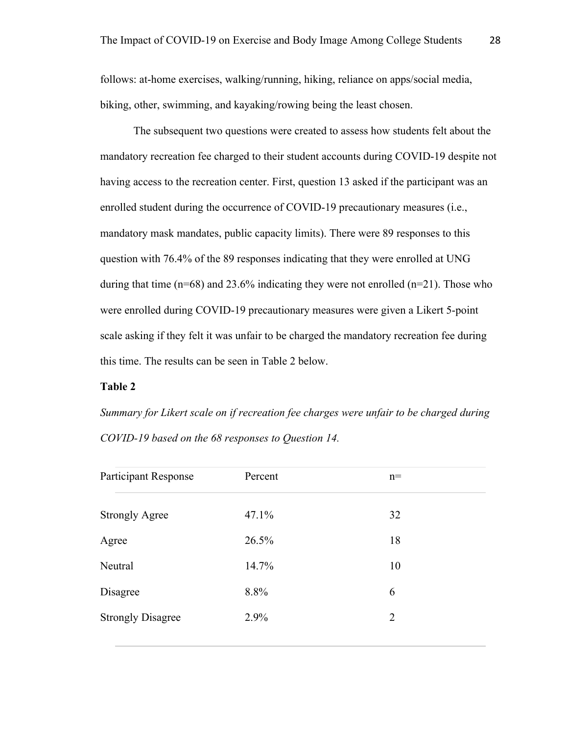follows: at-home exercises, walking/running, hiking, reliance on apps/social media, biking, other, swimming, and kayaking/rowing being the least chosen.

The subsequent two questions were created to assess how students felt about the mandatory recreation fee charged to their student accounts during COVID-19 despite not having access to the recreation center. First, question 13 asked if the participant was an enrolled student during the occurrence of COVID-19 precautionary measures (i.e., mandatory mask mandates, public capacity limits). There were 89 responses to this question with 76.4% of the 89 responses indicating that they were enrolled at UNG during that time  $(n=68)$  and 23.6% indicating they were not enrolled  $(n=21)$ . Those who were enrolled during COVID-19 precautionary measures were given a Likert 5-point scale asking if they felt it was unfair to be charged the mandatory recreation fee during this time. The results can be seen in Table 2 below.

# **Table 2**

*Summary for Likert scale on if recreation fee charges were unfair to be charged during COVID-19 based on the 68 responses to Question 14.*

| <b>Participant Response</b> | Percent | $n=$ |
|-----------------------------|---------|------|
| <b>Strongly Agree</b>       | 47.1%   | 32   |
| Agree                       | 26.5%   | 18   |
| Neutral                     | 14.7%   | 10   |
| Disagree                    | 8.8%    | 6    |
| <b>Strongly Disagree</b>    | 2.9%    | 2    |
|                             |         |      |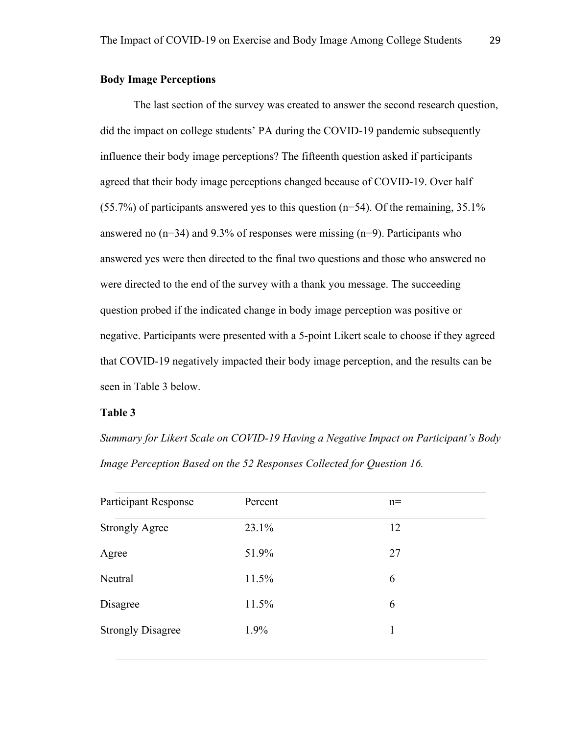# **Body Image Perceptions**

The last section of the survey was created to answer the second research question, did the impact on college students' PA during the COVID-19 pandemic subsequently influence their body image perceptions? The fifteenth question asked if participants agreed that their body image perceptions changed because of COVID-19. Over half  $(55.7%)$  of participants answered yes to this question (n=54). Of the remaining, 35.1% answered no  $(n=34)$  and 9.3% of responses were missing  $(n=9)$ . Participants who answered yes were then directed to the final two questions and those who answered no were directed to the end of the survey with a thank you message. The succeeding question probed if the indicated change in body image perception was positive or negative. Participants were presented with a 5-point Likert scale to choose if they agreed that COVID-19 negatively impacted their body image perception, and the results can be seen in Table 3 below.

# **Table 3**

*Summary for Likert Scale on COVID-19 Having a Negative Impact on Participant's Body Image Perception Based on the 52 Responses Collected for Question 16.*

| <b>Participant Response</b> | Percent | $n=$ |  |
|-----------------------------|---------|------|--|
| <b>Strongly Agree</b>       | 23.1%   | 12   |  |
| Agree                       | 51.9%   | 27   |  |
| Neutral                     | 11.5%   | 6    |  |
| Disagree                    | 11.5%   | 6    |  |
| <b>Strongly Disagree</b>    | 1.9%    |      |  |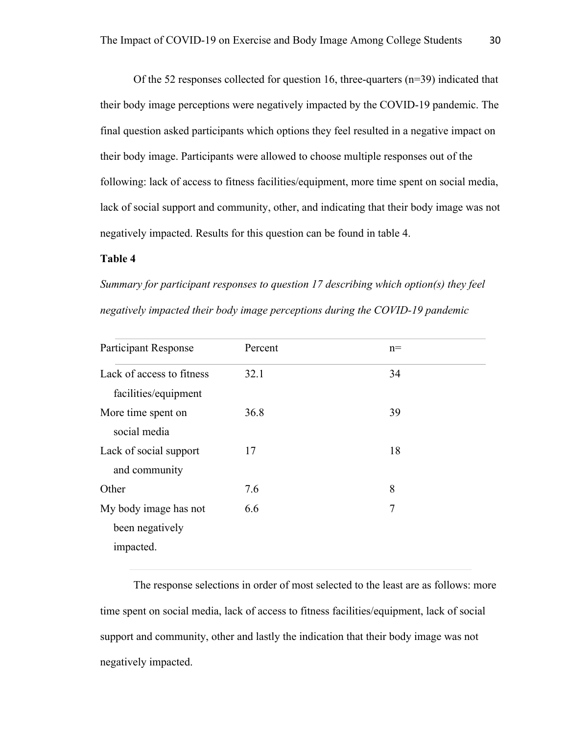Of the 52 responses collected for question 16, three-quarters (n=39) indicated that their body image perceptions were negatively impacted by the COVID-19 pandemic. The final question asked participants which options they feel resulted in a negative impact on their body image. Participants were allowed to choose multiple responses out of the following: lack of access to fitness facilities/equipment, more time spent on social media, lack of social support and community, other, and indicating that their body image was not negatively impacted. Results for this question can be found in table 4.

### **Table 4**

*Summary for participant responses to question 17 describing which option(s) they feel negatively impacted their body image perceptions during the COVID-19 pandemic*

| <b>Participant Response</b> | Percent | $n=$ |  |
|-----------------------------|---------|------|--|
| Lack of access to fitness   | 32.1    | 34   |  |
| facilities/equipment        |         |      |  |
| More time spent on          | 36.8    | 39   |  |
| social media                |         |      |  |
| Lack of social support      | 17      | 18   |  |
| and community               |         |      |  |
| Other                       | 7.6     | 8    |  |
| My body image has not       | 6.6     | 7    |  |
| been negatively             |         |      |  |
| impacted.                   |         |      |  |
|                             |         |      |  |

The response selections in order of most selected to the least are as follows: more time spent on social media, lack of access to fitness facilities/equipment, lack of social support and community, other and lastly the indication that their body image was not negatively impacted.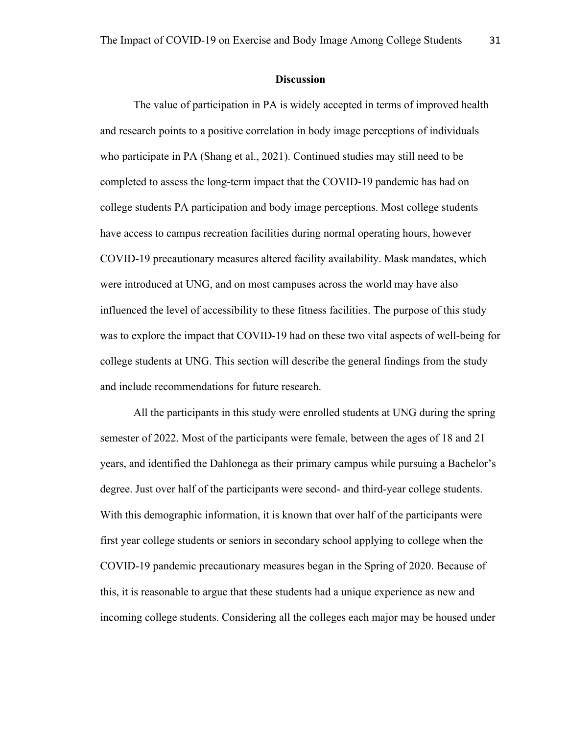#### **Discussion**

The value of participation in PA is widely accepted in terms of improved health and research points to a positive correlation in body image perceptions of individuals who participate in PA (Shang et al., 2021). Continued studies may still need to be completed to assess the long-term impact that the COVID-19 pandemic has had on college students PA participation and body image perceptions. Most college students have access to campus recreation facilities during normal operating hours, however COVID-19 precautionary measures altered facility availability. Mask mandates, which were introduced at UNG, and on most campuses across the world may have also influenced the level of accessibility to these fitness facilities. The purpose of this study was to explore the impact that COVID-19 had on these two vital aspects of well-being for college students at UNG. This section will describe the general findings from the study and include recommendations for future research.

All the participants in this study were enrolled students at UNG during the spring semester of 2022. Most of the participants were female, between the ages of 18 and 21 years, and identified the Dahlonega as their primary campus while pursuing a Bachelor's degree. Just over half of the participants were second- and third-year college students. With this demographic information, it is known that over half of the participants were first year college students or seniors in secondary school applying to college when the COVID-19 pandemic precautionary measures began in the Spring of 2020. Because of this, it is reasonable to argue that these students had a unique experience as new and incoming college students. Considering all the colleges each major may be housed under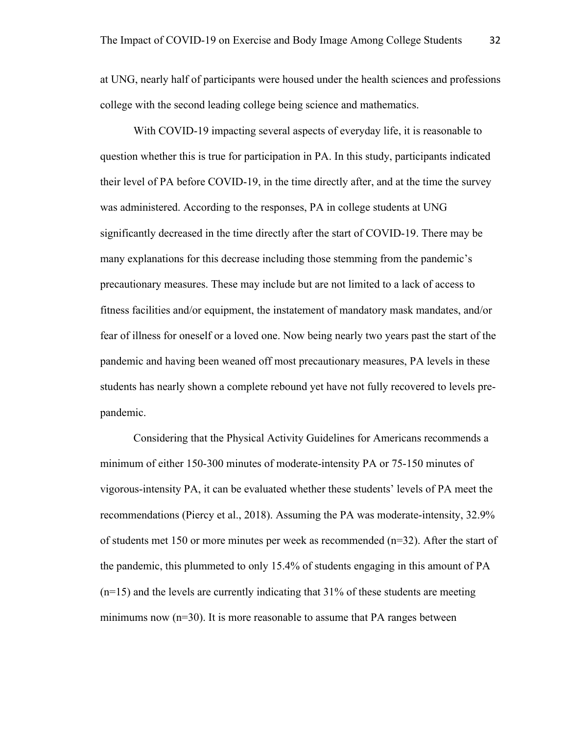at UNG, nearly half of participants were housed under the health sciences and professions college with the second leading college being science and mathematics.

With COVID-19 impacting several aspects of everyday life, it is reasonable to question whether this is true for participation in PA. In this study, participants indicated their level of PA before COVID-19, in the time directly after, and at the time the survey was administered. According to the responses, PA in college students at UNG significantly decreased in the time directly after the start of COVID-19. There may be many explanations for this decrease including those stemming from the pandemic's precautionary measures. These may include but are not limited to a lack of access to fitness facilities and/or equipment, the instatement of mandatory mask mandates, and/or fear of illness for oneself or a loved one. Now being nearly two years past the start of the pandemic and having been weaned off most precautionary measures, PA levels in these students has nearly shown a complete rebound yet have not fully recovered to levels prepandemic.

Considering that the Physical Activity Guidelines for Americans recommends a minimum of either 150-300 minutes of moderate-intensity PA or 75-150 minutes of vigorous-intensity PA, it can be evaluated whether these students' levels of PA meet the recommendations (Piercy et al., 2018). Assuming the PA was moderate-intensity, 32.9% of students met 150 or more minutes per week as recommended (n=32). After the start of the pandemic, this plummeted to only 15.4% of students engaging in this amount of PA  $(n=15)$  and the levels are currently indicating that 31% of these students are meeting minimums now  $(n=30)$ . It is more reasonable to assume that PA ranges between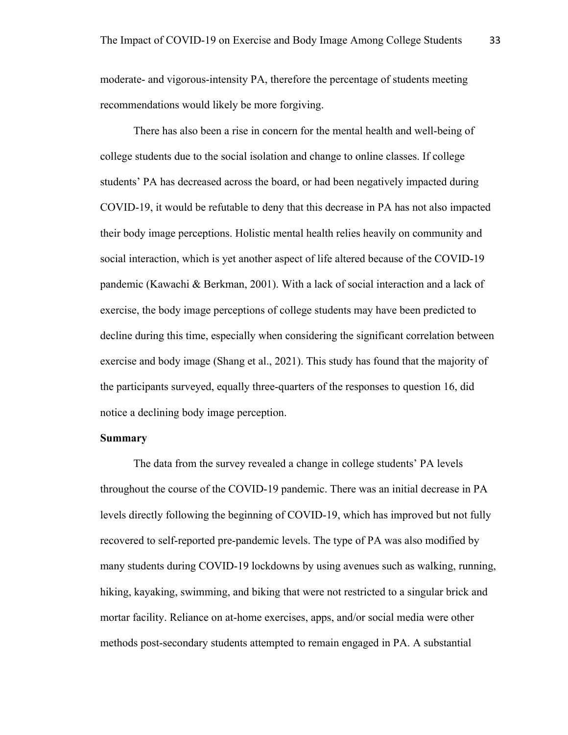moderate- and vigorous-intensity PA, therefore the percentage of students meeting recommendations would likely be more forgiving.

There has also been a rise in concern for the mental health and well-being of college students due to the social isolation and change to online classes. If college students' PA has decreased across the board, or had been negatively impacted during COVID-19, it would be refutable to deny that this decrease in PA has not also impacted their body image perceptions. Holistic mental health relies heavily on community and social interaction, which is yet another aspect of life altered because of the COVID-19 pandemic (Kawachi & Berkman, 2001). With a lack of social interaction and a lack of exercise, the body image perceptions of college students may have been predicted to decline during this time, especially when considering the significant correlation between exercise and body image (Shang et al., 2021). This study has found that the majority of the participants surveyed, equally three-quarters of the responses to question 16, did notice a declining body image perception.

# **Summary**

The data from the survey revealed a change in college students' PA levels throughout the course of the COVID-19 pandemic. There was an initial decrease in PA levels directly following the beginning of COVID-19, which has improved but not fully recovered to self-reported pre-pandemic levels. The type of PA was also modified by many students during COVID-19 lockdowns by using avenues such as walking, running, hiking, kayaking, swimming, and biking that were not restricted to a singular brick and mortar facility. Reliance on at-home exercises, apps, and/or social media were other methods post-secondary students attempted to remain engaged in PA. A substantial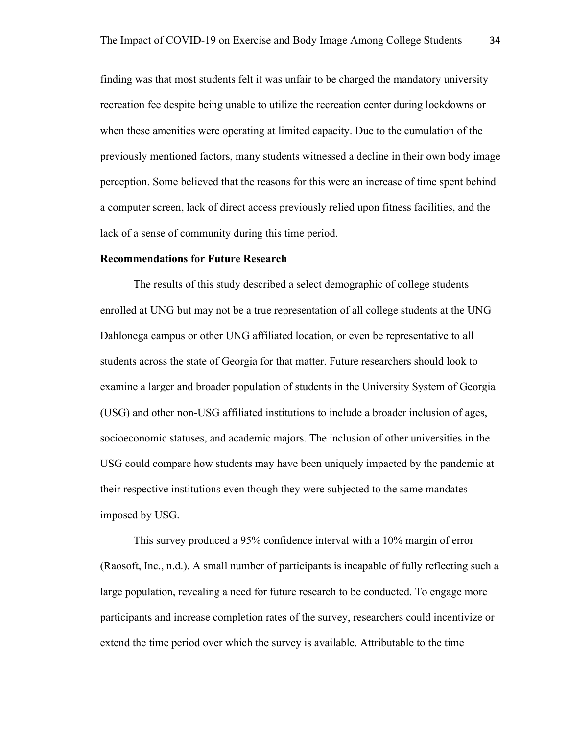finding was that most students felt it was unfair to be charged the mandatory university recreation fee despite being unable to utilize the recreation center during lockdowns or when these amenities were operating at limited capacity. Due to the cumulation of the previously mentioned factors, many students witnessed a decline in their own body image perception. Some believed that the reasons for this were an increase of time spent behind a computer screen, lack of direct access previously relied upon fitness facilities, and the lack of a sense of community during this time period.

#### **Recommendations for Future Research**

The results of this study described a select demographic of college students enrolled at UNG but may not be a true representation of all college students at the UNG Dahlonega campus or other UNG affiliated location, or even be representative to all students across the state of Georgia for that matter. Future researchers should look to examine a larger and broader population of students in the University System of Georgia (USG) and other non-USG affiliated institutions to include a broader inclusion of ages, socioeconomic statuses, and academic majors. The inclusion of other universities in the USG could compare how students may have been uniquely impacted by the pandemic at their respective institutions even though they were subjected to the same mandates imposed by USG.

This survey produced a 95% confidence interval with a 10% margin of error (Raosoft, Inc., n.d.). A small number of participants is incapable of fully reflecting such a large population, revealing a need for future research to be conducted. To engage more participants and increase completion rates of the survey, researchers could incentivize or extend the time period over which the survey is available. Attributable to the time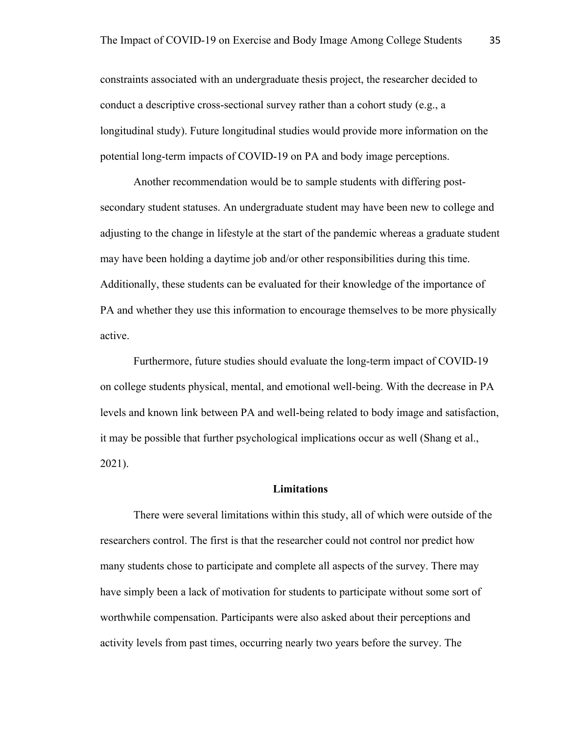constraints associated with an undergraduate thesis project, the researcher decided to conduct a descriptive cross-sectional survey rather than a cohort study (e.g., a longitudinal study). Future longitudinal studies would provide more information on the potential long-term impacts of COVID-19 on PA and body image perceptions.

Another recommendation would be to sample students with differing postsecondary student statuses. An undergraduate student may have been new to college and adjusting to the change in lifestyle at the start of the pandemic whereas a graduate student may have been holding a daytime job and/or other responsibilities during this time. Additionally, these students can be evaluated for their knowledge of the importance of PA and whether they use this information to encourage themselves to be more physically active.

Furthermore, future studies should evaluate the long-term impact of COVID-19 on college students physical, mental, and emotional well-being. With the decrease in PA levels and known link between PA and well-being related to body image and satisfaction, it may be possible that further psychological implications occur as well (Shang et al., 2021).

#### **Limitations**

There were several limitations within this study, all of which were outside of the researchers control. The first is that the researcher could not control nor predict how many students chose to participate and complete all aspects of the survey. There may have simply been a lack of motivation for students to participate without some sort of worthwhile compensation. Participants were also asked about their perceptions and activity levels from past times, occurring nearly two years before the survey. The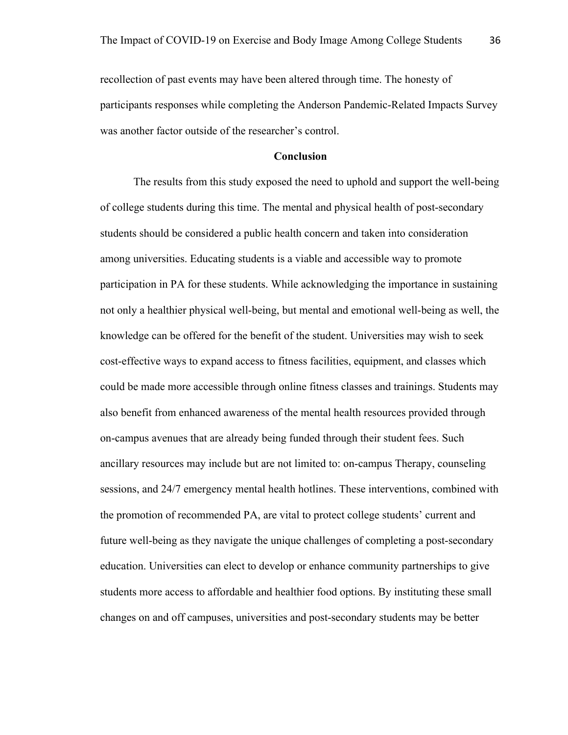recollection of past events may have been altered through time. The honesty of participants responses while completing the Anderson Pandemic-Related Impacts Survey was another factor outside of the researcher's control.

## **Conclusion**

The results from this study exposed the need to uphold and support the well-being of college students during this time. The mental and physical health of post-secondary students should be considered a public health concern and taken into consideration among universities. Educating students is a viable and accessible way to promote participation in PA for these students. While acknowledging the importance in sustaining not only a healthier physical well-being, but mental and emotional well-being as well, the knowledge can be offered for the benefit of the student. Universities may wish to seek cost-effective ways to expand access to fitness facilities, equipment, and classes which could be made more accessible through online fitness classes and trainings. Students may also benefit from enhanced awareness of the mental health resources provided through on-campus avenues that are already being funded through their student fees. Such ancillary resources may include but are not limited to: on-campus Therapy, counseling sessions, and 24/7 emergency mental health hotlines. These interventions, combined with the promotion of recommended PA, are vital to protect college students' current and future well-being as they navigate the unique challenges of completing a post-secondary education. Universities can elect to develop or enhance community partnerships to give students more access to affordable and healthier food options. By instituting these small changes on and off campuses, universities and post-secondary students may be better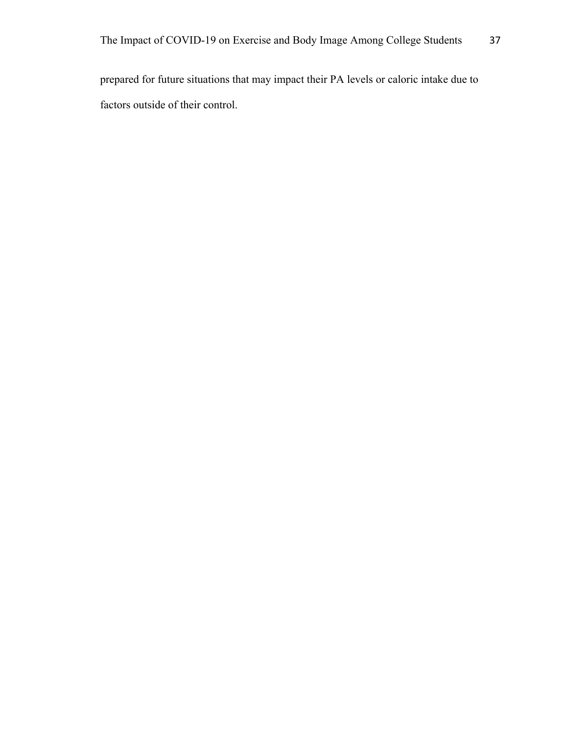prepared for future situations that may impact their PA levels or caloric intake due to factors outside of their control.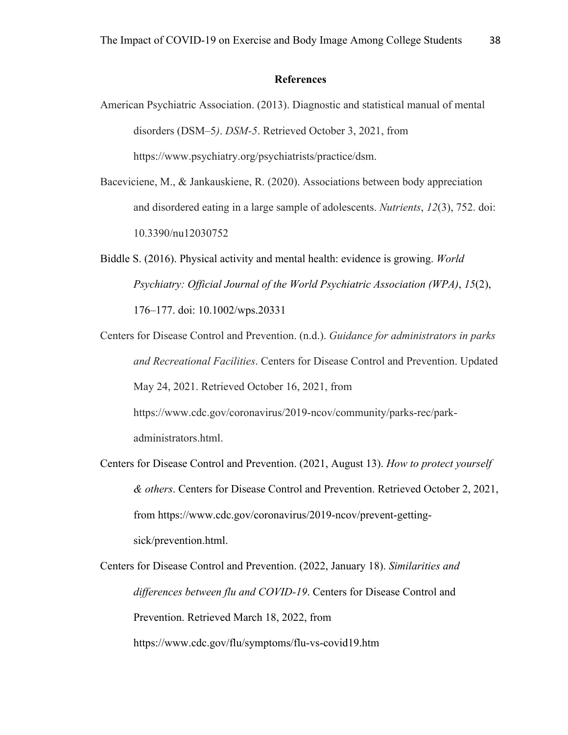#### **References**

- American Psychiatric Association. (2013). Diagnostic and statistical manual of mental disorders (DSM–5*)*. *DSM-5*. Retrieved October 3, 2021, from https://www.psychiatry.org/psychiatrists/practice/dsm.
- Baceviciene, M., & Jankauskiene, R. (2020). Associations between body appreciation and disordered eating in a large sample of adolescents. *Nutrients*, *12*(3), 752. doi: 10.3390/nu12030752
- Biddle S. (2016). Physical activity and mental health: evidence is growing. *World Psychiatry: Official Journal of the World Psychiatric Association (WPA)*, *15*(2), 176–177. doi: 10.1002/wps.20331
- Centers for Disease Control and Prevention. (n.d.). *Guidance for administrators in parks and Recreational Facilities*. Centers for Disease Control and Prevention. Updated May 24, 2021. Retrieved October 16, 2021, from https://www.cdc.gov/coronavirus/2019-ncov/community/parks-rec/parkadministrators.html.
- Centers for Disease Control and Prevention. (2021, August 13). *How to protect yourself & others*. Centers for Disease Control and Prevention. Retrieved October 2, 2021, from https://www.cdc.gov/coronavirus/2019-ncov/prevent-gettingsick/prevention.html.
- Centers for Disease Control and Prevention. (2022, January 18). *Similarities and differences between flu and COVID-19*. Centers for Disease Control and Prevention. Retrieved March 18, 2022, from https://www.cdc.gov/flu/symptoms/flu-vs-covid19.htm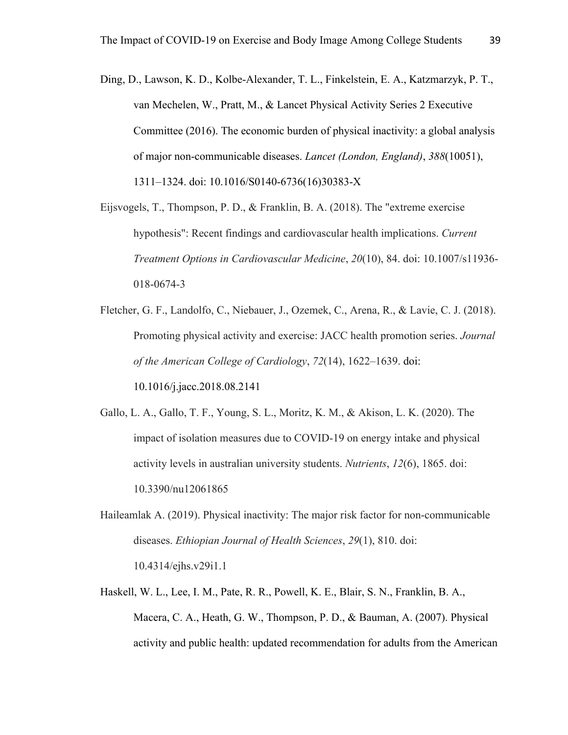Ding, D., Lawson, K. D., Kolbe-Alexander, T. L., Finkelstein, E. A., Katzmarzyk, P. T., van Mechelen, W., Pratt, M., & Lancet Physical Activity Series 2 Executive Committee (2016). The economic burden of physical inactivity: a global analysis of major non-communicable diseases. *Lancet (London, England)*, *388*(10051), 1311–1324. doi: 10.1016/S0140-6736(16)30383-X

Eijsvogels, T., Thompson, P. D., & Franklin, B. A. (2018). The "extreme exercise hypothesis": Recent findings and cardiovascular health implications. *Current Treatment Options in Cardiovascular Medicine*, *20*(10), 84. doi: 10.1007/s11936- 018-0674-3

Fletcher, G. F., Landolfo, C., Niebauer, J., Ozemek, C., Arena, R., & Lavie, C. J. (2018). Promoting physical activity and exercise: JACC health promotion series. *Journal of the American College of Cardiology*, *72*(14), 1622–1639. doi: 10.1016/j.jacc.2018.08.2141

Gallo, L. A., Gallo, T. F., Young, S. L., Moritz, K. M., & Akison, L. K. (2020). The impact of isolation measures due to COVID-19 on energy intake and physical activity levels in australian university students. *Nutrients*, *12*(6), 1865. doi: 10.3390/nu12061865

Haileamlak A. (2019). Physical inactivity: The major risk factor for non-communicable diseases. *Ethiopian Journal of Health Sciences*, *29*(1), 810. doi: 10.4314/ejhs.v29i1.1

Haskell, W. L., Lee, I. M., Pate, R. R., Powell, K. E., Blair, S. N., Franklin, B. A., Macera, C. A., Heath, G. W., Thompson, P. D., & Bauman, A. (2007). Physical activity and public health: updated recommendation for adults from the American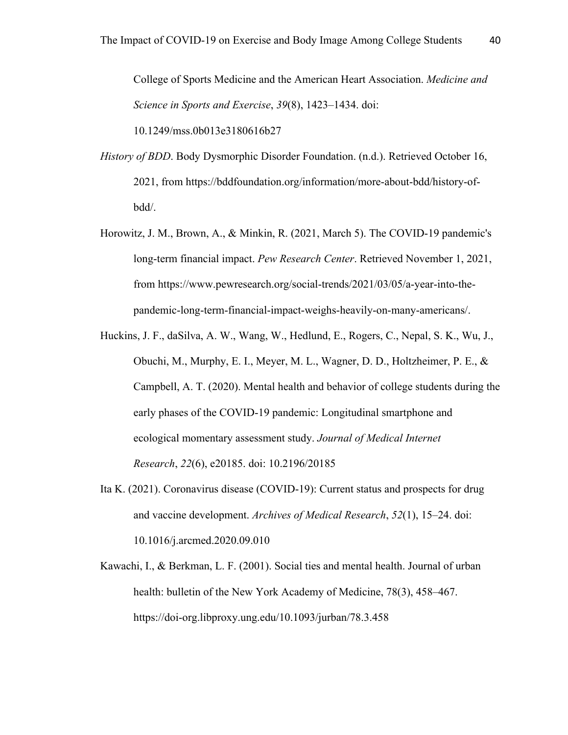College of Sports Medicine and the American Heart Association. *Medicine and Science in Sports and Exercise*, *39*(8), 1423–1434. doi:

10.1249/mss.0b013e3180616b27

- *History of BDD*. Body Dysmorphic Disorder Foundation. (n.d.). Retrieved October 16, 2021, from https://bddfoundation.org/information/more-about-bdd/history-ofbdd/.
- Horowitz, J. M., Brown, A., & Minkin, R. (2021, March 5). The COVID-19 pandemic's long-term financial impact. *Pew Research Center*. Retrieved November 1, 2021, from https://www.pewresearch.org/social-trends/2021/03/05/a-year-into-thepandemic-long-term-financial-impact-weighs-heavily-on-many-americans/.
- Huckins, J. F., daSilva, A. W., Wang, W., Hedlund, E., Rogers, C., Nepal, S. K., Wu, J., Obuchi, M., Murphy, E. I., Meyer, M. L., Wagner, D. D., Holtzheimer, P. E., & Campbell, A. T. (2020). Mental health and behavior of college students during the early phases of the COVID-19 pandemic: Longitudinal smartphone and ecological momentary assessment study. *Journal of Medical Internet Research*, *22*(6), e20185. doi: 10.2196/20185
- Ita K. (2021). Coronavirus disease (COVID-19): Current status and prospects for drug and vaccine development. *Archives of Medical Research*, *52*(1), 15–24. doi: 10.1016/j.arcmed.2020.09.010
- Kawachi, I., & Berkman, L. F. (2001). Social ties and mental health. Journal of urban health: bulletin of the New York Academy of Medicine, 78(3), 458–467. https://doi-org.libproxy.ung.edu/10.1093/jurban/78.3.458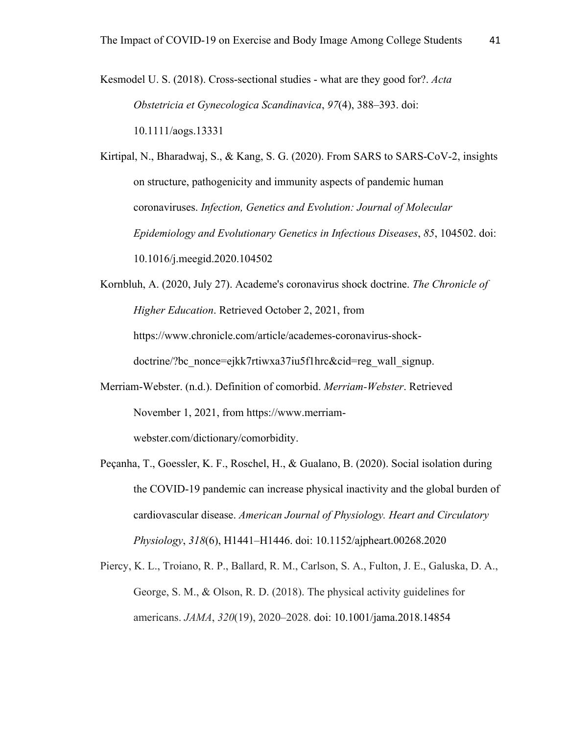Kesmodel U. S. (2018). Cross-sectional studies - what are they good for?. *Acta Obstetricia et Gynecologica Scandinavica*, *97*(4), 388–393. doi: 10.1111/aogs.13331

Kirtipal, N., Bharadwaj, S., & Kang, S. G. (2020). From SARS to SARS-CoV-2, insights on structure, pathogenicity and immunity aspects of pandemic human coronaviruses. *Infection, Genetics and Evolution: Journal of Molecular Epidemiology and Evolutionary Genetics in Infectious Diseases*, *85*, 104502. doi: 10.1016/j.meegid.2020.104502

Kornbluh, A. (2020, July 27). Academe's coronavirus shock doctrine. *The Chronicle of Higher Education*. Retrieved October 2, 2021, from https://www.chronicle.com/article/academes-coronavirus-shockdoctrine/?bc\_nonce=ejkk7rtiwxa37iu5f1hrc&cid=reg\_wall\_signup.

- Merriam-Webster. (n.d.). Definition of comorbid. *Merriam-Webster*. Retrieved November 1, 2021, from https://www.merriamwebster.com/dictionary/comorbidity.
- Peçanha, T., Goessler, K. F., Roschel, H., & Gualano, B. (2020). Social isolation during the COVID-19 pandemic can increase physical inactivity and the global burden of cardiovascular disease. *American Journal of Physiology. Heart and Circulatory Physiology*, *318*(6), H1441–H1446. doi: 10.1152/ajpheart.00268.2020

Piercy, K. L., Troiano, R. P., Ballard, R. M., Carlson, S. A., Fulton, J. E., Galuska, D. A., George, S. M., & Olson, R. D. (2018). The physical activity guidelines for americans. *JAMA*, *320*(19), 2020–2028. doi: 10.1001/jama.2018.14854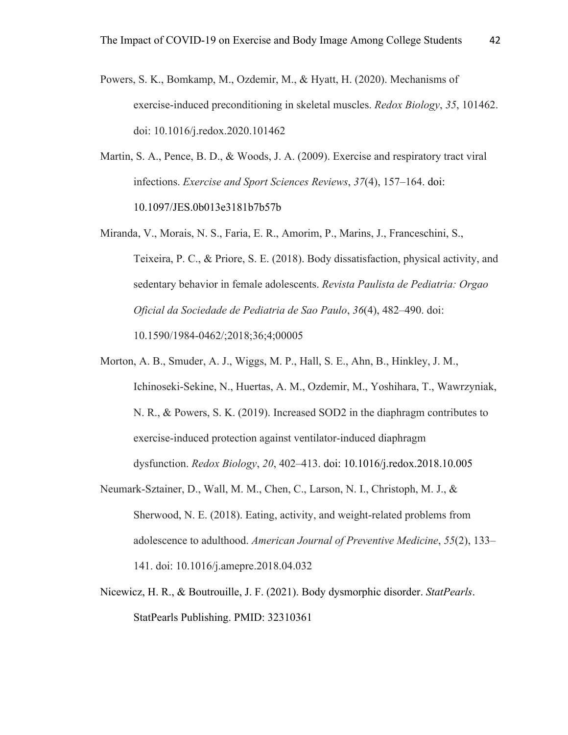- Powers, S. K., Bomkamp, M., Ozdemir, M., & Hyatt, H. (2020). Mechanisms of exercise-induced preconditioning in skeletal muscles. *Redox Biology*, *35*, 101462. doi: 10.1016/j.redox.2020.101462
- Martin, S. A., Pence, B. D., & Woods, J. A. (2009). Exercise and respiratory tract viral infections. *Exercise and Sport Sciences Reviews*, *37*(4), 157–164. doi: 10.1097/JES.0b013e3181b7b57b
- Miranda, V., Morais, N. S., Faria, E. R., Amorim, P., Marins, J., Franceschini, S., Teixeira, P. C., & Priore, S. E. (2018). Body dissatisfaction, physical activity, and sedentary behavior in female adolescents. *Revista Paulista de Pediatria: Orgao Oficial da Sociedade de Pediatria de Sao Paulo*, *36*(4), 482–490. doi: 10.1590/1984-0462/;2018;36;4;00005
- Morton, A. B., Smuder, A. J., Wiggs, M. P., Hall, S. E., Ahn, B., Hinkley, J. M., Ichinoseki-Sekine, N., Huertas, A. M., Ozdemir, M., Yoshihara, T., Wawrzyniak, N. R., & Powers, S. K. (2019). Increased SOD2 in the diaphragm contributes to exercise-induced protection against ventilator-induced diaphragm dysfunction. *Redox Biology*, *20*, 402–413. doi: 10.1016/j.redox.2018.10.005
- Neumark-Sztainer, D., Wall, M. M., Chen, C., Larson, N. I., Christoph, M. J., & Sherwood, N. E. (2018). Eating, activity, and weight-related problems from adolescence to adulthood. *American Journal of Preventive Medicine*, *55*(2), 133– 141. doi: 10.1016/j.amepre.2018.04.032
- Nicewicz, H. R., & Boutrouille, J. F. (2021). Body dysmorphic disorder. *StatPearls*. StatPearls Publishing. PMID: 32310361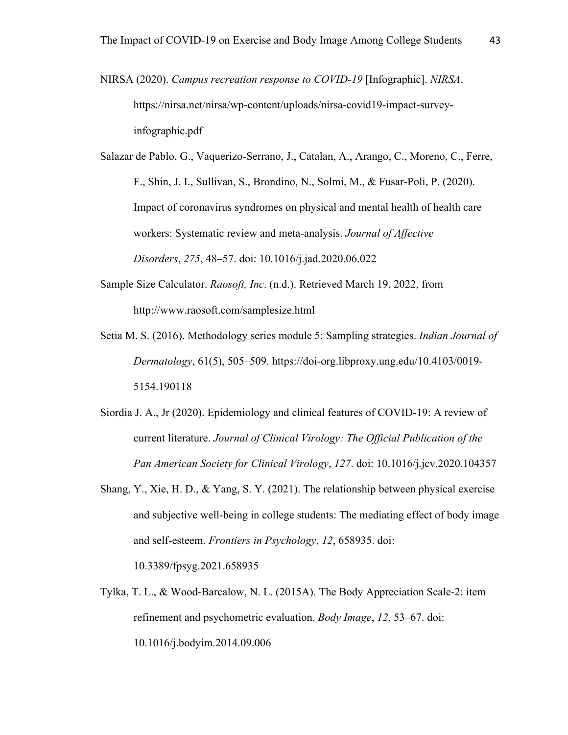NIRSA (2020). *Campus recreation response to COVID-19* [Infographic]. *NIRSA*. https://nirsa.net/nirsa/wp-content/uploads/nirsa-covid19-impact-surveyinfographic.pdf

Salazar de Pablo, G., Vaquerizo-Serrano, J., Catalan, A., Arango, C., Moreno, C., Ferre, F., Shin, J. I., Sullivan, S., Brondino, N., Solmi, M., & Fusar-Poli, P. (2020). Impact of coronavirus syndromes on physical and mental health of health care workers: Systematic review and meta-analysis. *Journal of Affective Disorders*, *275*, 48–57. doi: 10.1016/j.jad.2020.06.022

- Sample Size Calculator. *Raosoft, Inc*. (n.d.). Retrieved March 19, 2022, from http://www.raosoft.com/samplesize.html
- Setia M. S. (2016). Methodology series module 5: Sampling strategies. *Indian Journal of Dermatology*, 61(5), 505–509. https://doi-org.libproxy.ung.edu/10.4103/0019- 5154.190118
- Siordia J. A., Jr (2020). Epidemiology and clinical features of COVID-19: A review of current literature. *Journal of Clinical Virology: The Official Publication of the Pan American Society for Clinical Virology*, *127*. doi: 10.1016/j.jcv.2020.104357
- Shang, Y., Xie, H. D., & Yang, S. Y. (2021). The relationship between physical exercise and subjective well-being in college students: The mediating effect of body image and self-esteem. *Frontiers in Psychology*, *12*, 658935. doi:

10.3389/fpsyg.2021.658935

Tylka, T. L., & Wood-Barcalow, N. L. (2015A). The Body Appreciation Scale-2: item refinement and psychometric evaluation. *Body Image*, *12*, 53–67. doi: 10.1016/j.bodyim.2014.09.006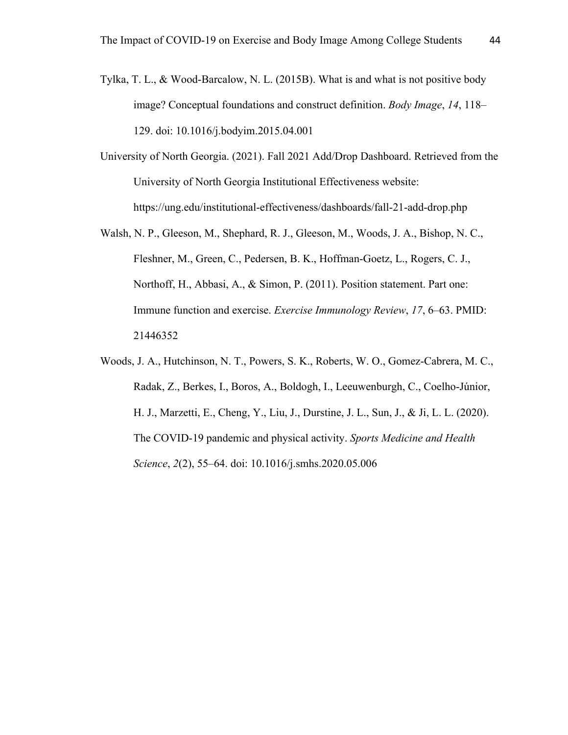- Tylka, T. L., & Wood-Barcalow, N. L. (2015B). What is and what is not positive body image? Conceptual foundations and construct definition. *Body Image*, *14*, 118– 129. doi: 10.1016/j.bodyim.2015.04.001
- University of North Georgia. (2021). Fall 2021 Add/Drop Dashboard. Retrieved from the University of North Georgia Institutional Effectiveness website: https://ung.edu/institutional-effectiveness/dashboards/fall-21-add-drop.php
- Walsh, N. P., Gleeson, M., Shephard, R. J., Gleeson, M., Woods, J. A., Bishop, N. C., Fleshner, M., Green, C., Pedersen, B. K., Hoffman-Goetz, L., Rogers, C. J., Northoff, H., Abbasi, A., & Simon, P. (2011). Position statement. Part one: Immune function and exercise. *Exercise Immunology Review*, *17*, 6–63. PMID: 21446352
- Woods, J. A., Hutchinson, N. T., Powers, S. K., Roberts, W. O., Gomez-Cabrera, M. C., Radak, Z., Berkes, I., Boros, A., Boldogh, I., Leeuwenburgh, C., Coelho-Júnior, H. J., Marzetti, E., Cheng, Y., Liu, J., Durstine, J. L., Sun, J., & Ji, L. L. (2020). The COVID-19 pandemic and physical activity. *Sports Medicine and Health Science*, *2*(2), 55–64. doi: 10.1016/j.smhs.2020.05.006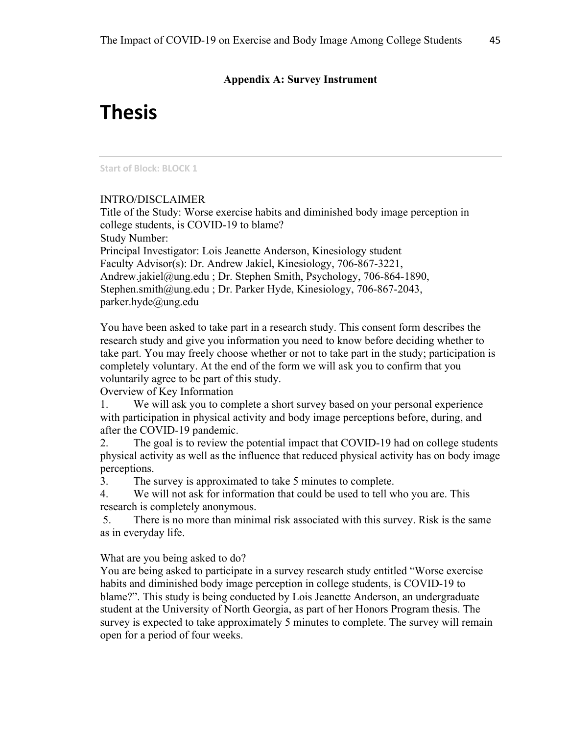# **Appendix A: Survey Instrument**

# **Thesis**

#### **Start of Block: BLOCK 1**

#### INTRO/DISCLAIMER

Title of the Study: Worse exercise habits and diminished body image perception in college students, is COVID-19 to blame? Study Number: Principal Investigator: Lois Jeanette Anderson, Kinesiology student Faculty Advisor(s): Dr. Andrew Jakiel, Kinesiology, 706-867-3221, Andrew.jakiel@ung.edu ; Dr. Stephen Smith, Psychology, 706-864-1890, Stephen.smith@ung.edu ; Dr. Parker Hyde, Kinesiology, 706-867-2043, parker.hyde@ung.edu

You have been asked to take part in a research study. This consent form describes the research study and give you information you need to know before deciding whether to take part. You may freely choose whether or not to take part in the study; participation is completely voluntary. At the end of the form we will ask you to confirm that you voluntarily agree to be part of this study.

#### Overview of Key Information

1. We will ask you to complete a short survey based on your personal experience with participation in physical activity and body image perceptions before, during, and after the COVID-19 pandemic.

2. The goal is to review the potential impact that COVID-19 had on college students physical activity as well as the influence that reduced physical activity has on body image perceptions.

3. The survey is approximated to take 5 minutes to complete.

4. We will not ask for information that could be used to tell who you are. This research is completely anonymous.

5. There is no more than minimal risk associated with this survey. Risk is the same as in everyday life.

What are you being asked to do?

You are being asked to participate in a survey research study entitled "Worse exercise habits and diminished body image perception in college students, is COVID-19 to blame?". This study is being conducted by Lois Jeanette Anderson, an undergraduate student at the University of North Georgia, as part of her Honors Program thesis. The survey is expected to take approximately 5 minutes to complete. The survey will remain open for a period of four weeks.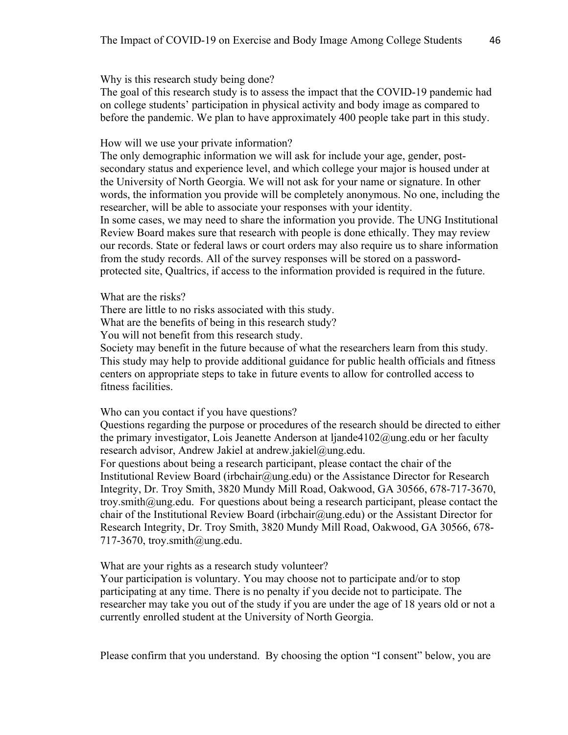Why is this research study being done?

The goal of this research study is to assess the impact that the COVID-19 pandemic had on college students' participation in physical activity and body image as compared to before the pandemic. We plan to have approximately 400 people take part in this study.

How will we use your private information?

The only demographic information we will ask for include your age, gender, postsecondary status and experience level, and which college your major is housed under at the University of North Georgia. We will not ask for your name or signature. In other words, the information you provide will be completely anonymous. No one, including the researcher, will be able to associate your responses with your identity. In some cases, we may need to share the information you provide. The UNG Institutional Review Board makes sure that research with people is done ethically. They may review our records. State or federal laws or court orders may also require us to share information from the study records. All of the survey responses will be stored on a passwordprotected site, Qualtrics, if access to the information provided is required in the future.

What are the risks?

There are little to no risks associated with this study.

What are the benefits of being in this research study?

You will not benefit from this research study.

Society may benefit in the future because of what the researchers learn from this study. This study may help to provide additional guidance for public health officials and fitness centers on appropriate steps to take in future events to allow for controlled access to fitness facilities.

Who can you contact if you have questions?

Questions regarding the purpose or procedures of the research should be directed to either the primary investigator, Lois Jeanette Anderson at ljande4102@ung.edu or her faculty research advisor, Andrew Jakiel at andrew.jakiel@ung.edu.

For questions about being a research participant, please contact the chair of the Institutional Review Board (irbchair@ung.edu) or the Assistance Director for Research Integrity, Dr. Troy Smith, 3820 Mundy Mill Road, Oakwood, GA 30566, 678-717-3670, troy.smith@ung.edu. For questions about being a research participant, please contact the chair of the Institutional Review Board (irbchair $(\partial \mu n)$  or the Assistant Director for Research Integrity, Dr. Troy Smith, 3820 Mundy Mill Road, Oakwood, GA 30566, 678- 717-3670, troy.smith@ung.edu.

What are your rights as a research study volunteer?

Your participation is voluntary. You may choose not to participate and/or to stop participating at any time. There is no penalty if you decide not to participate. The researcher may take you out of the study if you are under the age of 18 years old or not a currently enrolled student at the University of North Georgia.

Please confirm that you understand. By choosing the option "I consent" below, you are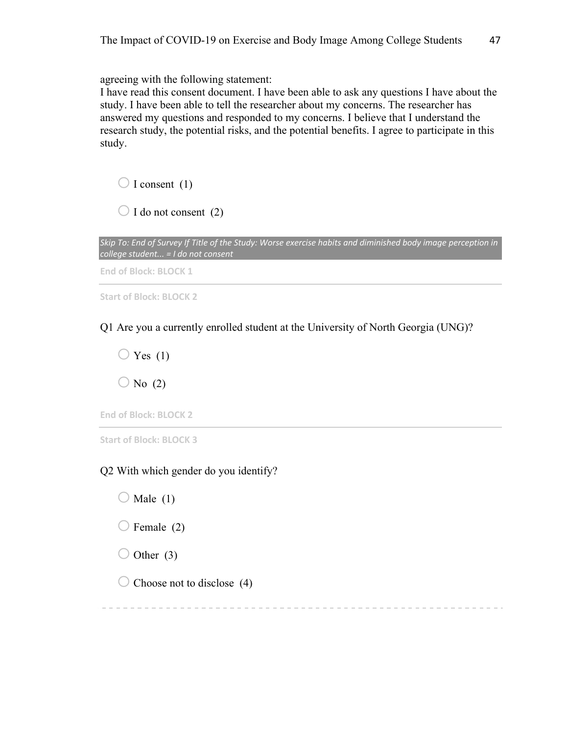agreeing with the following statement:

I have read this consent document. I have been able to ask any questions I have about the study. I have been able to tell the researcher about my concerns. The researcher has answered my questions and responded to my concerns. I believe that I understand the research study, the potential risks, and the potential benefits. I agree to participate in this study.

 $\bigcirc$  I consent (1)

 $\bigcirc$  I do not consent (2)

*Skip To: End of Survey If Title of the Study: Worse exercise habits and diminished body image perception in college student... = I do not consent*

**End of Block: BLOCK 1**

**Start of Block: BLOCK 2**

Q1 Are you a currently enrolled student at the University of North Georgia (UNG)?

 $\bigcirc$  Yes (1)  $\bigcirc$  No (2)

**End of Block: BLOCK 2**

**Start of Block: BLOCK 3**

Q2 With which gender do you identify?

 $\bigcirc$  Male (1)

 $\bigcirc$  Female (2)

 $\bigcirc$  Other (3)

 $\bigcirc$  Choose not to disclose (4)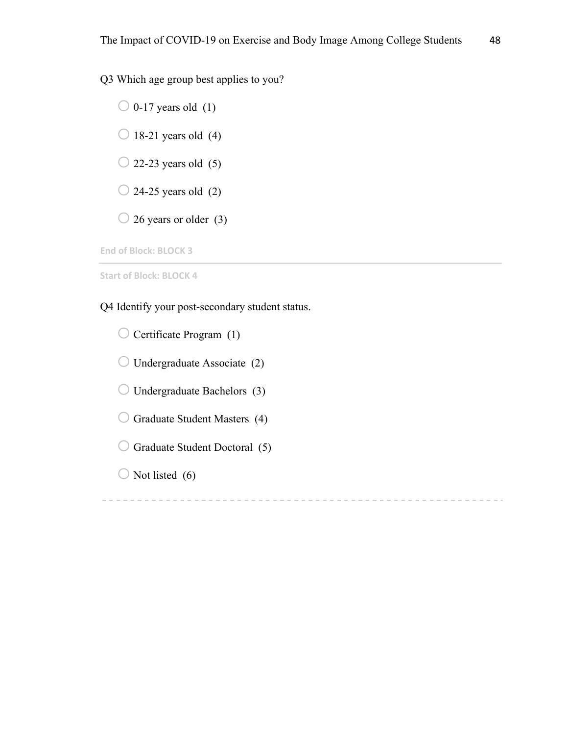Q3 Which age group best applies to you?

 $\bigcirc$  0-17 years old (1)  $\bigcirc$  18-21 years old (4)  $\bigcirc$  22-23 years old (5)  $\bigcirc$  24-25 years old (2)  $\bigcirc$  26 years or older (3)

**End of Block: BLOCK 3**

**Start of Block: BLOCK 4**

Q4 Identify your post-secondary student status.

 $\bigcirc$  Certificate Program (1)

 $\bigcirc$  Undergraduate Associate (2)

 $\bigcirc$  Undergraduate Bachelors (3)

 $\bigcirc$  Graduate Student Masters (4)

 $\bigcirc$  Graduate Student Doctoral (5)

 $\bigcirc$  Not listed (6)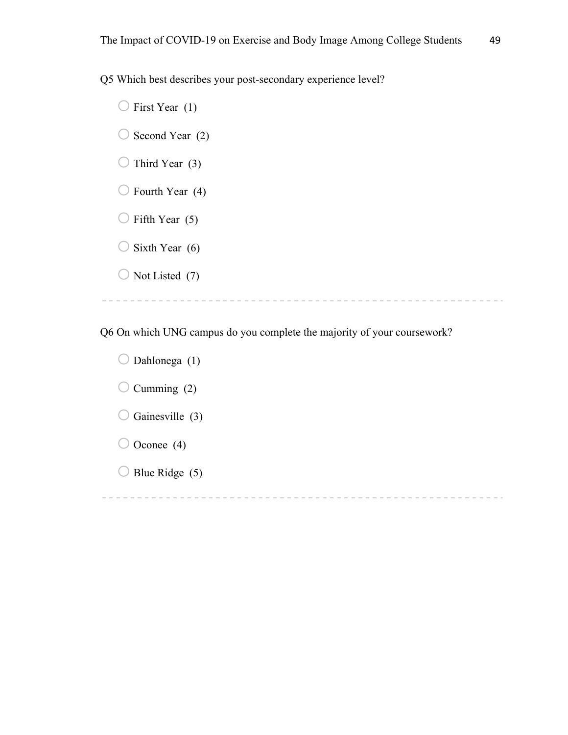Q5 Which best describes your post-secondary experience level?

 $\bigcirc$  First Year (1)  $\bigcirc$  Second Year (2)  $\bigcirc$  Third Year (3)  $\bigcirc$  Fourth Year (4)  $\bigcirc$  Fifth Year (5)  $\bigcirc$  Sixth Year (6)  $\bigcirc$  Not Listed (7) 

Q6 On which UNG campus do you complete the majority of your coursework?

 $\bigcirc$  Dahlonega (1)  $\bigcirc$  Cumming (2)  $\bigcirc$  Gainesville (3)  $\bigcirc$  Oconee (4)  $\bigcirc$  Blue Ridge (5)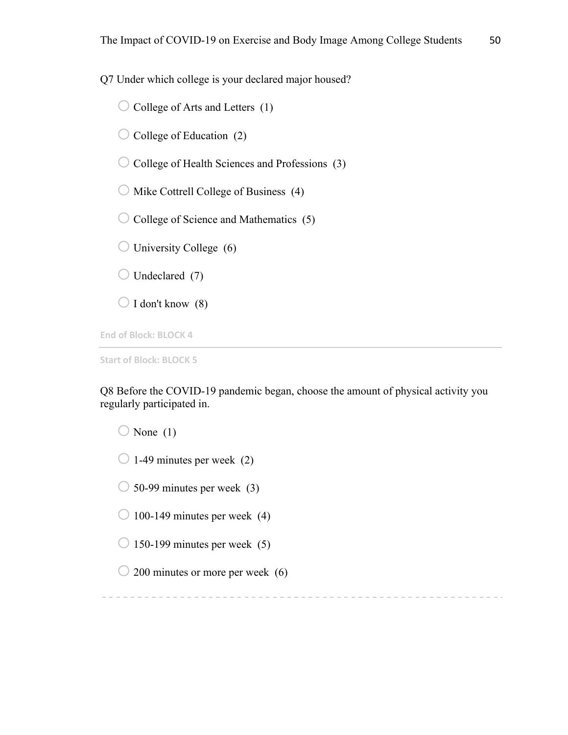Q7 Under which college is your declared major housed?

 $\bigcirc$  College of Arts and Letters (1)

 $\bigcirc$  College of Education (2)

 $\bigcirc$  College of Health Sciences and Professions (3)

 $\bigcirc$  Mike Cottrell College of Business (4)

 $\bigcirc$  College of Science and Mathematics (5)

 $\bigcirc$  University College (6)

 $\bigcirc$  Undeclared (7)

 $\bigcirc$  I don't know (8)

**End of Block: BLOCK 4**

**Start of Block: BLOCK 5**

Q8 Before the COVID-19 pandemic began, choose the amount of physical activity you regularly participated in.

 $\bigcirc$  None (1)

 $\bigcirc$  1-49 minutes per week (2)

 $\bigcirc$  50-99 minutes per week (3)

 $\bigcirc$  100-149 minutes per week (4)

 $\bigcirc$  150-199 minutes per week (5)

 $\bigcirc$  200 minutes or more per week (6)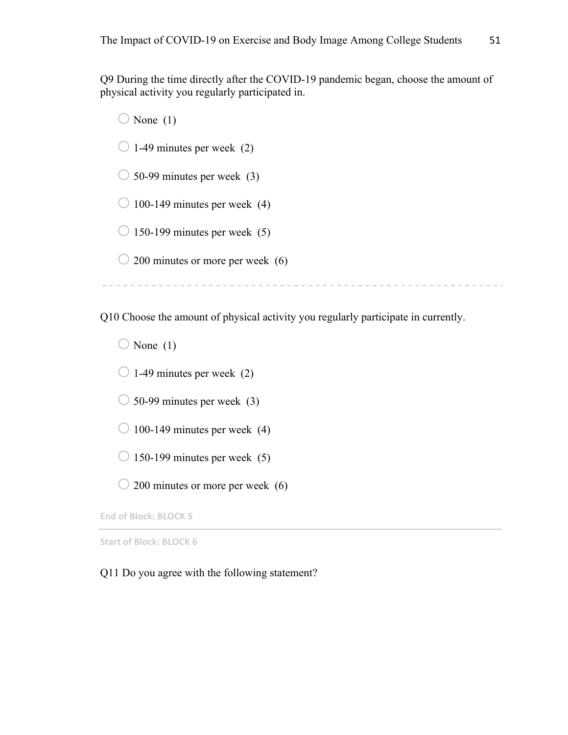Q9 During the time directly after the COVID-19 pandemic began, choose the amount of physical activity you regularly participated in.

 $\bigcirc$  None (1)  $\bigcirc$  1-49 minutes per week (2)  $\bigcirc$  50-99 minutes per week (3)  $\bigcirc$  100-149 minutes per week (4)  $\bigcirc$  150-199 minutes per week (5)  $\bigcirc$  200 minutes or more per week (6)

Q10 Choose the amount of physical activity you regularly participate in currently.

 $\bigcirc$  None (1)

 $\bigcirc$  1-49 minutes per week (2)

 $\bigcirc$  50-99 minutes per week (3)

 $\bigcirc$  100-149 minutes per week (4)

 $\bigcirc$  150-199 minutes per week (5)

 $\bigcirc$  200 minutes or more per week (6)

**End of Block: BLOCK 5**

**Start of Block: BLOCK 6**

Q11 Do you agree with the following statement?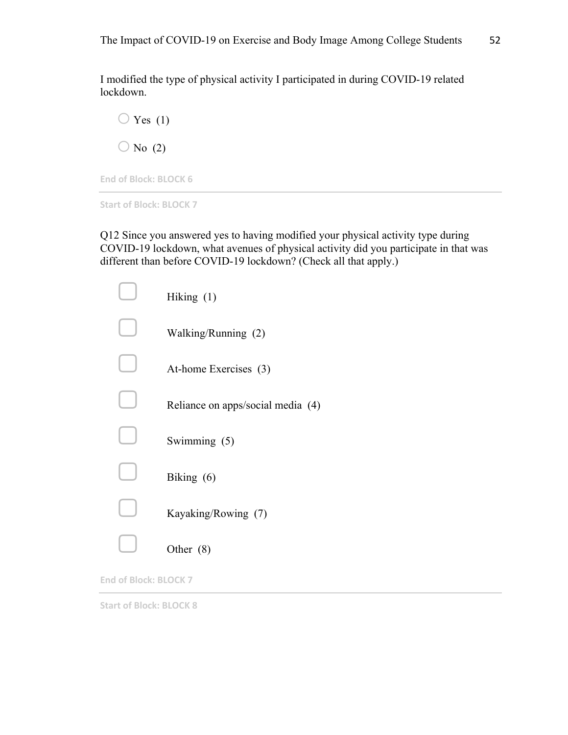I modified the type of physical activity I participated in during COVID-19 related lockdown.



**End of Block: BLOCK 6**

**Start of Block: BLOCK 7**

Q12 Since you answered yes to having modified your physical activity type during COVID-19 lockdown, what avenues of physical activity did you participate in that was different than before COVID-19 lockdown? (Check all that apply.)

| Hiking $(1)$                      |
|-----------------------------------|
| Walking/Running (2)               |
| At-home Exercises (3)             |
| Reliance on apps/social media (4) |
| Swimming (5)                      |
| Biking $(6)$                      |
| Kayaking/Rowing (7)               |
| Other $(8)$                       |

**End of Block: BLOCK 7**

**Start of Block: BLOCK 8**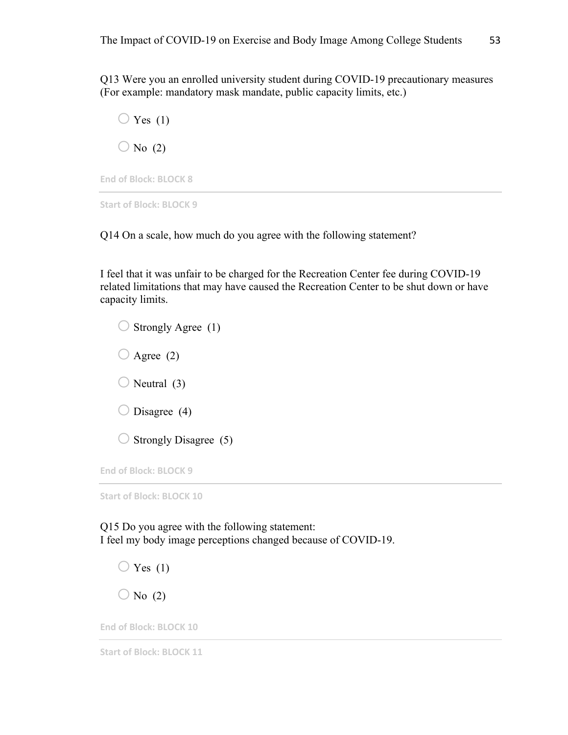Q13 Were you an enrolled university student during COVID-19 precautionary measures (For example: mandatory mask mandate, public capacity limits, etc.)



**End of Block: BLOCK 8**

**Start of Block: BLOCK 9**

Q14 On a scale, how much do you agree with the following statement?

I feel that it was unfair to be charged for the Recreation Center fee during COVID-19 related limitations that may have caused the Recreation Center to be shut down or have capacity limits.

 $\bigcirc$  Strongly Agree (1)  $\bigcirc$  Agree (2)  $\bigcirc$  Neutral (3)  $\bigcirc$  Disagree (4)  $\bigcirc$  Strongly Disagree (5)

**End of Block: BLOCK 9**

**Start of Block: BLOCK 10**

Q15 Do you agree with the following statement: I feel my body image perceptions changed because of COVID-19.

 $\bigcirc$  Yes (1)  $\bigcirc$  No (2)

**End of Block: BLOCK 10**

**Start of Block: BLOCK 11**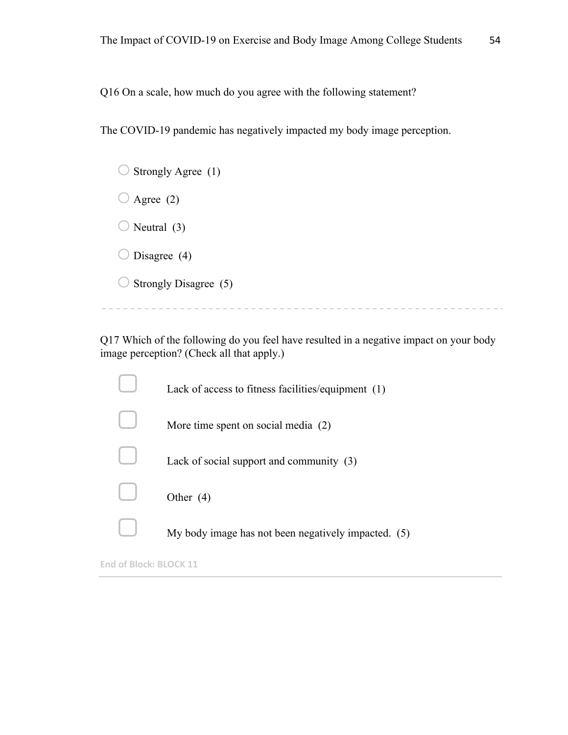Q16 On a scale, how much do you agree with the following statement?

The COVID-19 pandemic has negatively impacted my body image perception.

| Strongly Agree (1)    |
|-----------------------|
| Agree $(2)$           |
| Neutral (3)<br>.      |
| Disagree (4)          |
| Strongly Disagree (5) |
|                       |

Q17 Which of the following do you feel have resulted in a negative impact on your body image perception? (Check all that apply.)

| Lack of access to fitness facilities/equipment (1)  |
|-----------------------------------------------------|
| More time spent on social media (2)                 |
| Lack of social support and community (3)            |
| Other $(4)$                                         |
| My body image has not been negatively impacted. (5) |
|                                                     |

**End of Block: BLOCK 11**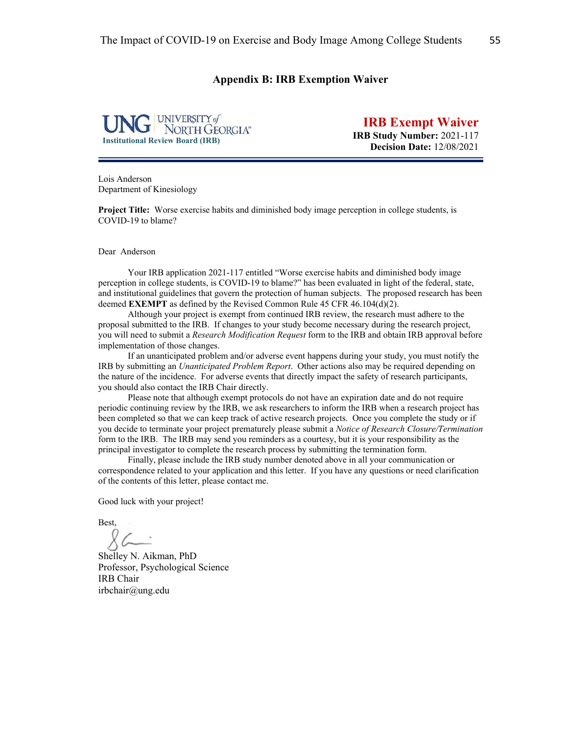# **Appendix B: IRB Exemption Waiver**



**IRB Exempt Waiver IRB Study Number:** 2021-117 **Decision Date:** 12/08/2021

Lois Anderson Department of Kinesiology

**Project Title:** Worse exercise habits and diminished body image perception in college students, is COVID-19 to blame?

Dear Anderson

Your IRB application 2021-117 entitled "Worse exercise habits and diminished body image perception in college students, is COVID-19 to blame?" has been evaluated in light of the federal, state, and institutional guidelines that govern the protection of human subjects. The proposed research has been deemed **EXEMPT** as defined by the Revised Common Rule 45 CFR 46.104(d)(2).

Although your project is exempt from continued IRB review, the research must adhere to the proposal submitted to the IRB. If changes to your study become necessary during the research project, you will need to submit a *Research Modification Request* form to the IRB and obtain IRB approval before implementation of those changes.

If an unanticipated problem and/or adverse event happens during your study, you must notify the IRB by submitting an *Unanticipated Problem Report*. Other actions also may be required depending on the nature of the incidence. For adverse events that directly impact the safety of research participants, you should also contact the IRB Chair directly.

Please note that although exempt protocols do not have an expiration date and do not require periodic continuing review by the IRB, we ask researchers to inform the IRB when a research project has been completed so that we can keep track of active research projects. Once you complete the study or if you decide to terminate your project prematurely please submit a *Notice of Research Closure/Termination* form to the IRB. The IRB may send you reminders as a courtesy, but it is your responsibility as the principal investigator to complete the research process by submitting the termination form.

Finally, please include the IRB study number denoted above in all your communication or correspondence related to your application and this letter. If you have any questions or need clarification of the contents of this letter, please contact me.

Good luck with your project!

Best,

Shelley N. Aikman, PhD Professor, Psychological Science IRB Chair irbchair@ung.edu